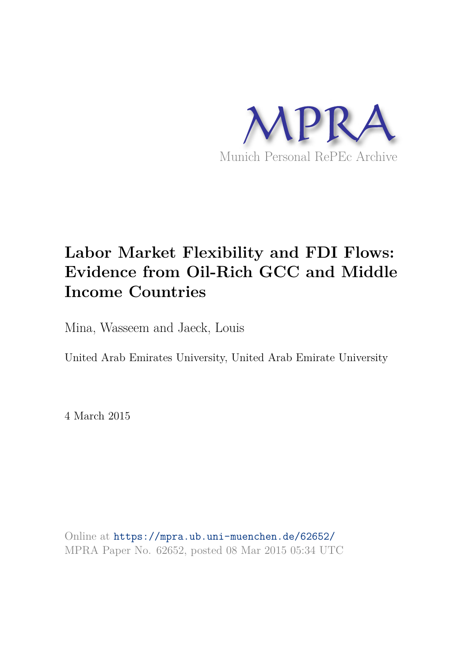

# **Labor Market Flexibility and FDI Flows: Evidence from Oil-Rich GCC and Middle Income Countries**

Mina, Wasseem and Jaeck, Louis

United Arab Emirates University, United Arab Emirate University

4 March 2015

Online at https://mpra.ub.uni-muenchen.de/62652/ MPRA Paper No. 62652, posted 08 Mar 2015 05:34 UTC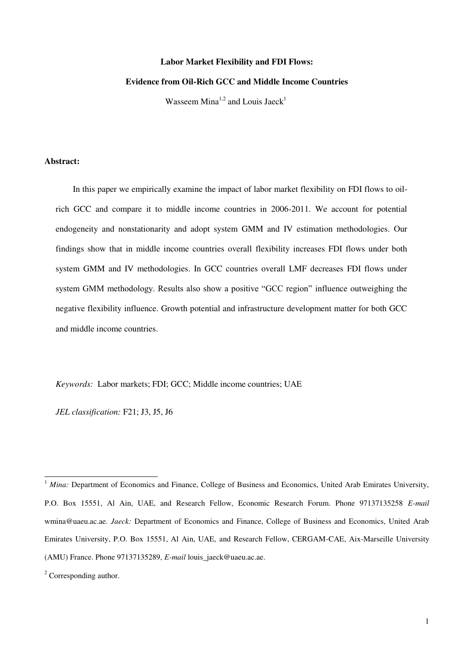### **Labor Market Flexibility and FDI Flows:**

# **Evidence from Oil-Rich GCC and Middle Income Countries**

Wasseem Mina<sup>1,2</sup> and Louis Jaeck<sup>1</sup>

# **Abstract:**

In this paper we empirically examine the impact of labor market flexibility on FDI flows to oilrich GCC and compare it to middle income countries in 2006-2011. We account for potential endogeneity and nonstationarity and adopt system GMM and IV estimation methodologies. Our findings show that in middle income countries overall flexibility increases FDI flows under both system GMM and IV methodologies. In GCC countries overall LMF decreases FDI flows under system GMM methodology. Results also show a positive "GCC region" influence outweighing the negative flexibility influence. Growth potential and infrastructure development matter for both GCC and middle income countries.

*Keywords:* Labor markets; FDI; GCC; Middle income countries; UAE

*JEL classification:* F21; J3, J5, J6

<sup>&</sup>lt;sup>1</sup> *Mina:* Department of Economics and Finance, College of Business and Economics, United Arab Emirates University, P.O. Box 15551, Al Ain, UAE, and Research Fellow, Economic Research Forum. Phone 97137135258 *E-mail* [wmina@uaeu.ac.ae.](mailto:wmina@uaeu.ac.ae) *Jaeck:* Department of Economics and Finance, College of Business and Economics, United Arab Emirates University, P.O. Box 15551, Al Ain, UAE, and Research Fellow, CERGAM-CAE, Aix-Marseille University (AMU) France. Phone 97137135289, *E-mail* [louis\\_jaeck@uaeu.ac.ae.](mailto:louis_jaeck@uaeu.ac.ae)

<sup>&</sup>lt;sup>2</sup> Corresponding author.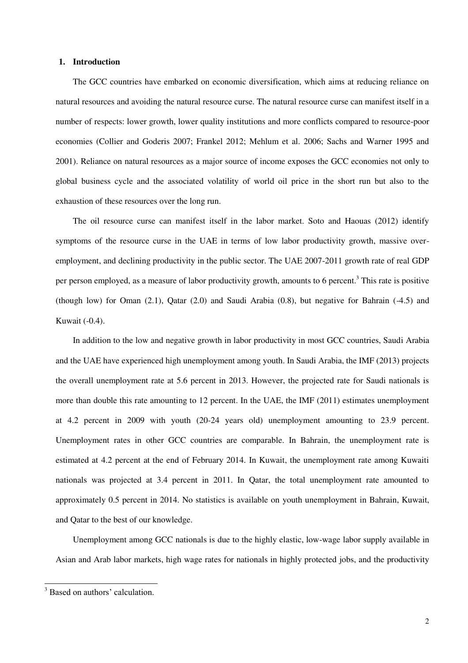#### **1. Introduction**

The GCC countries have embarked on economic diversification, which aims at reducing reliance on natural resources and avoiding the natural resource curse. The natural resource curse can manifest itself in a number of respects: lower growth, lower quality institutions and more conflicts compared to resource-poor economies (Collier and Goderis 2007; Frankel 2012; Mehlum et al. 2006; Sachs and Warner 1995 and 2001). Reliance on natural resources as a major source of income exposes the GCC economies not only to global business cycle and the associated volatility of world oil price in the short run but also to the exhaustion of these resources over the long run.

The oil resource curse can manifest itself in the labor market. Soto and Haouas (2012) identify symptoms of the resource curse in the UAE in terms of low labor productivity growth, massive overemployment, and declining productivity in the public sector. The UAE 2007-2011 growth rate of real GDP per person employed, as a measure of labor productivity growth, amounts to 6 percent.<sup>3</sup> This rate is positive (though low) for Oman (2.1), Qatar (2.0) and Saudi Arabia (0.8), but negative for Bahrain (-4.5) and Kuwait (-0.4).

In addition to the low and negative growth in labor productivity in most GCC countries, Saudi Arabia and the UAE have experienced high unemployment among youth. In Saudi Arabia, the IMF (2013) projects the overall unemployment rate at 5.6 percent in 2013. However, the projected rate for Saudi nationals is more than double this rate amounting to 12 percent. In the UAE, the IMF (2011) estimates unemployment at 4.2 percent in 2009 with youth (20-24 years old) unemployment amounting to 23.9 percent. Unemployment rates in other GCC countries are comparable. In Bahrain, the unemployment rate is estimated at 4.2 percent at the end of February 2014. In Kuwait, the unemployment rate among Kuwaiti nationals was projected at 3.4 percent in 2011. In Qatar, the total unemployment rate amounted to approximately 0.5 percent in 2014. No statistics is available on youth unemployment in Bahrain, Kuwait, and Qatar to the best of our knowledge.

Unemployment among GCC nationals is due to the highly elastic, low-wage labor supply available in Asian and Arab labor markets, high wage rates for nationals in highly protected jobs, and the productivity

<sup>&</sup>lt;sup>3</sup> Based on authors' calculation.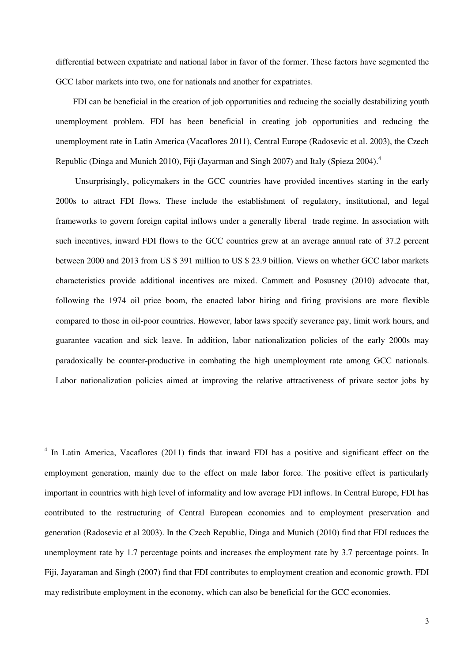differential between expatriate and national labor in favor of the former. These factors have segmented the GCC labor markets into two, one for nationals and another for expatriates.

FDI can be beneficial in the creation of job opportunities and reducing the socially destabilizing youth unemployment problem. FDI has been beneficial in creating job opportunities and reducing the unemployment rate in Latin America (Vacaflores 2011), Central Europe (Radosevic et al. 2003), the Czech Republic (Dinga and Munich 2010), Fiji (Jayarman and Singh 2007) and Italy (Spieza 2004).<sup>4</sup>

 Unsurprisingly, policymakers in the GCC countries have provided incentives starting in the early 2000s to attract FDI flows. These include the establishment of regulatory, institutional, and legal frameworks to govern foreign capital inflows under a generally liberal trade regime. In association with such incentives, inward FDI flows to the GCC countries grew at an average annual rate of 37.2 percent between 2000 and 2013 from US \$ 391 million to US \$ 23.9 billion. Views on whether GCC labor markets characteristics provide additional incentives are mixed. Cammett and Posusney (2010) advocate that, following the 1974 oil price boom, the enacted labor hiring and firing provisions are more flexible compared to those in oil-poor countries. However, labor laws specify severance pay, limit work hours, and guarantee vacation and sick leave. In addition, labor nationalization policies of the early 2000s may paradoxically be counter-productive in combating the high unemployment rate among GCC nationals. Labor nationalization policies aimed at improving the relative attractiveness of private sector jobs by

<sup>&</sup>lt;sup>4</sup> In Latin America, Vacaflores (2011) finds that inward FDI has a positive and significant effect on the employment generation, mainly due to the effect on male labor force. The positive effect is particularly important in countries with high level of informality and low average FDI inflows. In Central Europe, FDI has contributed to the restructuring of Central European economies and to employment preservation and generation (Radosevic et al 2003). In the Czech Republic, Dinga and Munich (2010) find that FDI reduces the unemployment rate by 1.7 percentage points and increases the employment rate by 3.7 percentage points. In Fiji, Jayaraman and Singh (2007) find that FDI contributes to employment creation and economic growth. FDI may redistribute employment in the economy, which can also be beneficial for the GCC economies.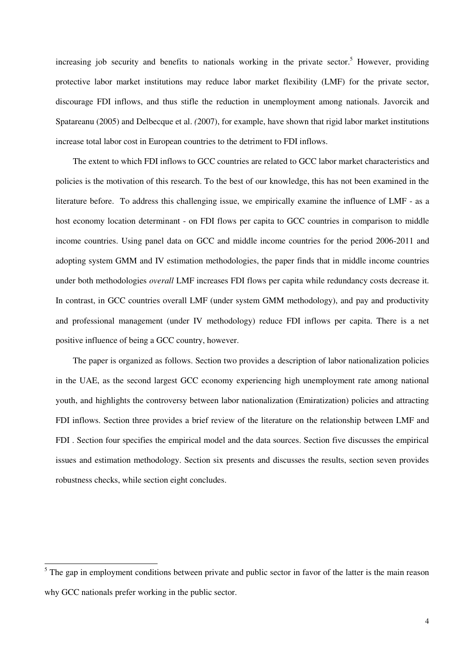increasing job security and benefits to nationals working in the private sector.<sup>5</sup> However, providing protective labor market institutions may reduce labor market flexibility (LMF) for the private sector, discourage FDI inflows, and thus stifle the reduction in unemployment among nationals. Javorcik and Spatareanu (2005) and Delbecque et al. *(*2007), for example, have shown that rigid labor market institutions increase total labor cost in European countries to the detriment to FDI inflows.

The extent to which FDI inflows to GCC countries are related to GCC labor market characteristics and policies is the motivation of this research. To the best of our knowledge, this has not been examined in the literature before. To address this challenging issue, we empirically examine the influence of LMF - as a host economy location determinant - on FDI flows per capita to GCC countries in comparison to middle income countries. Using panel data on GCC and middle income countries for the period 2006-2011 and adopting system GMM and IV estimation methodologies, the paper finds that in middle income countries under both methodologies *overall* LMF increases FDI flows per capita while redundancy costs decrease it. In contrast, in GCC countries overall LMF (under system GMM methodology), and pay and productivity and professional management (under IV methodology) reduce FDI inflows per capita. There is a net positive influence of being a GCC country, however.

The paper is organized as follows. Section two provides a description of labor nationalization policies in the UAE, as the second largest GCC economy experiencing high unemployment rate among national youth, and highlights the controversy between labor nationalization (Emiratization) policies and attracting FDI inflows. Section three provides a brief review of the literature on the relationship between LMF and FDI . Section four specifies the empirical model and the data sources. Section five discusses the empirical issues and estimation methodology. Section six presents and discusses the results, section seven provides robustness checks, while section eight concludes.

<sup>&</sup>lt;sup>5</sup> The gap in employment conditions between private and public sector in favor of the latter is the main reason why GCC nationals prefer working in the public sector.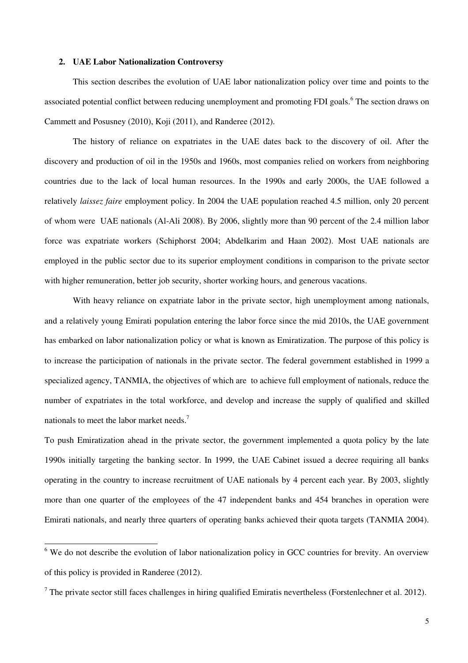#### **2. UAE Labor Nationalization Controversy**

This section describes the evolution of UAE labor nationalization policy over time and points to the associated potential conflict between reducing unemployment and promoting FDI goals.<sup>6</sup> The section draws on Cammett and Posusney (2010), Koji (2011), and Randeree (2012).

The history of reliance on expatriates in the UAE dates back to the discovery of oil. After the discovery and production of oil in the 1950s and 1960s, most companies relied on workers from neighboring countries due to the lack of local human resources. In the 1990s and early 2000s, the UAE followed a relatively *laissez faire* employment policy. In 2004 the UAE population reached 4.5 million, only 20 percent of whom were UAE nationals (Al-Ali 2008). By 2006, slightly more than 90 percent of the 2.4 million labor force was expatriate workers (Schiphorst 2004; Abdelkarim and Haan 2002). Most UAE nationals are employed in the public sector due to its superior employment conditions in comparison to the private sector with higher remuneration, better job security, shorter working hours, and generous vacations.

With heavy reliance on expatriate labor in the private sector, high unemployment among nationals, and a relatively young Emirati population entering the labor force since the mid 2010s, the UAE government has embarked on labor nationalization policy or what is known as Emiratization. The purpose of this policy is to increase the participation of nationals in the private sector. The federal government established in 1999 a specialized agency, TANMIA, the objectives of which are to achieve full employment of nationals, reduce the number of expatriates in the total workforce, and develop and increase the supply of qualified and skilled nationals to meet the labor market needs.<sup>7</sup>

To push Emiratization ahead in the private sector, the government implemented a quota policy by the late 1990s initially targeting the banking sector. In 1999, the UAE Cabinet issued a decree requiring all banks operating in the country to increase recruitment of UAE nationals by 4 percent each year. By 2003, slightly more than one quarter of the employees of the 47 independent banks and 454 branches in operation were Emirati nationals, and nearly three quarters of operating banks achieved their quota targets (TANMIA 2004).

<sup>&</sup>lt;sup>6</sup> We do not describe the evolution of labor nationalization policy in GCC countries for brevity. An overview of this policy is provided in Randeree (2012).

 $<sup>7</sup>$  The private sector still faces challenges in hiring qualified Emiratis nevertheless (Forstenlechner et al. 2012).</sup>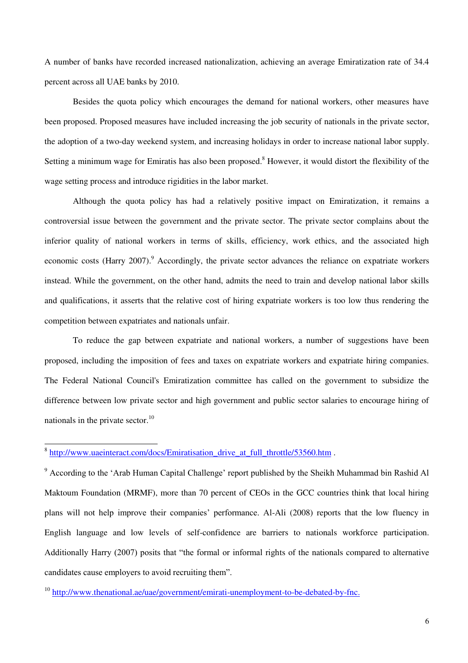A number of banks have recorded increased nationalization, achieving an average Emiratization rate of 34.4 percent across all UAE banks by 2010.

Besides the quota policy which encourages the demand for national workers, other measures have been proposed. Proposed measures have included increasing the job security of nationals in the private sector, the adoption of a two-day weekend system, and increasing holidays in order to increase national labor supply. Setting a minimum wage for Emiratis has also been proposed.<sup>8</sup> However, it would distort the flexibility of the wage setting process and introduce rigidities in the labor market.

Although the quota policy has had a relatively positive impact on Emiratization, it remains a controversial issue between the government and the private sector. The private sector complains about the inferior quality of national workers in terms of skills, efficiency, work ethics, and the associated high economic costs (Harry 2007).<sup>9</sup> Accordingly, the private sector advances the reliance on expatriate workers instead. While the government, on the other hand, admits the need to train and develop national labor skills and qualifications, it asserts that the relative cost of hiring expatriate workers is too low thus rendering the competition between expatriates and nationals unfair.

To reduce the gap between expatriate and national workers, a number of suggestions have been proposed, including the imposition of fees and taxes on expatriate workers and expatriate hiring companies. The Federal National Council's Emiratization committee has called on the government to subsidize the difference between low private sector and high government and public sector salaries to encourage hiring of nationals in the private sector. $^{10}$ 

<sup>8</sup> [http://www.uaeinteract.com/docs/Emiratisation\\_drive\\_at\\_full\\_throttle/53560.htm](http://www.uaeinteract.com/docs/Emiratisation_drive_at_full_throttle/53560.htm) .

<sup>9</sup> According to the 'Arab Human Capital Challenge' report published by the Sheikh Muhammad bin Rashid Al Maktoum Foundation (MRMF), more than 70 percent of CEOs in the GCC countries think that local hiring plans will not help improve their companies' performance. Al-Ali (2008) reports that the low fluency in English language and low levels of self-confidence are barriers to nationals workforce participation. Additionally Harry (2007) posits that "the formal or informal rights of the nationals compared to alternative candidates cause employers to avoid recruiting them".

<sup>10</sup> [http://www.thenational.ae/uae/government/emirati-unemployment-to-be-debated-by-fnc.](http://www.thenational.ae/uae/government/emirati-unemployment-to-be-debated-by-fnc)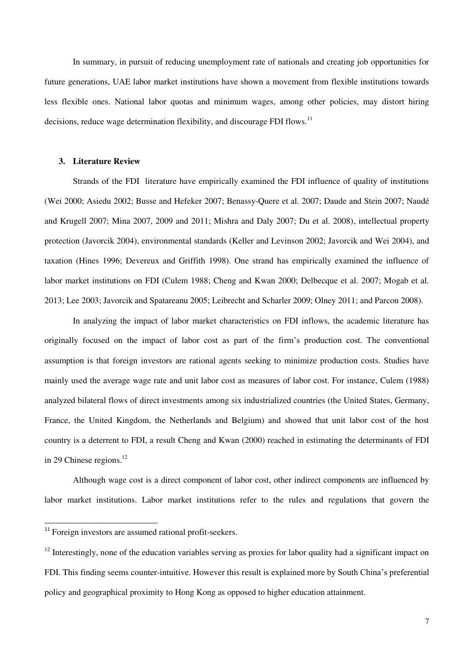In summary, in pursuit of reducing unemployment rate of nationals and creating job opportunities for future generations, UAE labor market institutions have shown a movement from flexible institutions towards less flexible ones. National labor quotas and minimum wages, among other policies, may distort hiring decisions, reduce wage determination flexibility, and discourage FDI flows.<sup>11</sup>

## **3. Literature Review**

Strands of the FDI literature have empirically examined the FDI influence of quality of institutions (Wei 2000; Asiedu 2002; Busse and Hefeker 2007; Benassy-Quere et al. 2007; Daude and Stein 2007; Naudé and Krugell 2007; Mina 2007, 2009 and 2011; Mishra and Daly 2007; Du et al. 2008), intellectual property protection (Javorcik 2004), environmental standards (Keller and Levinson 2002; Javorcik and Wei 2004), and taxation (Hines 1996; Devereux and Griffith 1998). One strand has empirically examined the influence of labor market institutions on FDI (Culem 1988; Cheng and Kwan 2000; Delbecque et al. 2007; Mogab et al. 2013; Lee 2003; Javorcik and Spatareanu 2005; Leibrecht and Scharler 2009; Olney 2011; and Parcon 2008).

In analyzing the impact of labor market characteristics on FDI inflows, the academic literature has originally focused on the impact of labor cost as part of the firm's production cost. The conventional assumption is that foreign investors are rational agents seeking to minimize production costs. Studies have mainly used the average wage rate and unit labor cost as measures of labor cost. For instance, Culem (1988) analyzed bilateral flows of direct investments among six industrialized countries (the United States, Germany, France, the United Kingdom, the Netherlands and Belgium) and showed that unit labor cost of the host country is a deterrent to FDI, a result Cheng and Kwan (2000) reached in estimating the determinants of FDI in 29 Chinese regions. $12$ 

Although wage cost is a direct component of labor cost, other indirect components are influenced by labor market institutions. Labor market institutions refer to the rules and regulations that govern the

<sup>&</sup>lt;sup>11</sup> Foreign investors are assumed rational profit-seekers.

 $12$  Interestingly, none of the education variables serving as proxies for labor quality had a significant impact on FDI. This finding seems counter-intuitive. However this result is explained more by South China's preferential policy and geographical proximity to Hong Kong as opposed to higher education attainment.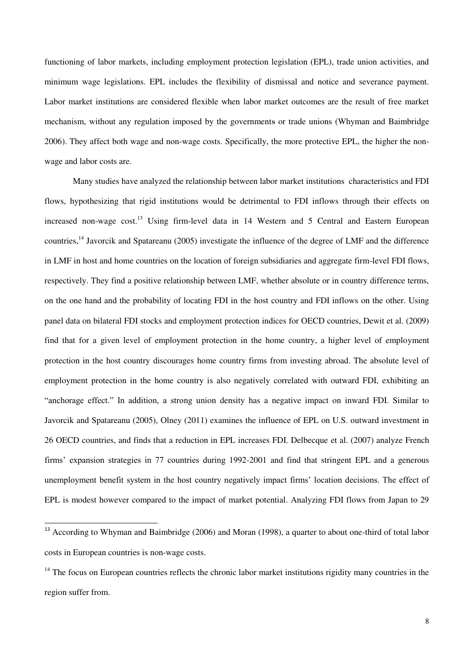functioning of labor markets, including employment protection legislation (EPL), trade union activities, and minimum wage legislations. EPL includes the flexibility of dismissal and notice and severance payment. Labor market institutions are considered flexible when labor market outcomes are the result of free market mechanism, without any regulation imposed by the governments or trade unions (Whyman and Baimbridge 2006). They affect both wage and non-wage costs. Specifically, the more protective EPL, the higher the nonwage and labor costs are.

Many studies have analyzed the relationship between labor market institutions characteristics and FDI flows, hypothesizing that rigid institutions would be detrimental to FDI inflows through their effects on increased non-wage cost.<sup>13</sup> Using firm-level data in 14 Western and 5 Central and Eastern European countries,<sup>14</sup> Javorcik and Spatareanu (2005) investigate the influence of the degree of LMF and the difference in LMF in host and home countries on the location of foreign subsidiaries and aggregate firm-level FDI flows, respectively. They find a positive relationship between LMF, whether absolute or in country difference terms, on the one hand and the probability of locating FDI in the host country and FDI inflows on the other. Using panel data on bilateral FDI stocks and employment protection indices for OECD countries, Dewit et al. (2009) find that for a given level of employment protection in the home country, a higher level of employment protection in the host country discourages home country firms from investing abroad. The absolute level of employment protection in the home country is also negatively correlated with outward FDI, exhibiting an "anchorage effect." In addition, a strong union density has a negative impact on inward FDI. Similar to Javorcik and Spatareanu (2005), Olney (2011) examines the influence of EPL on U.S. outward investment in 26 OECD countries, and finds that a reduction in EPL increases FDI. Delbecque et al. (2007) analyze French firms' expansion strategies in 77 countries during 1992-2001 and find that stringent EPL and a generous unemployment benefit system in the host country negatively impact firms' location decisions. The effect of EPL is modest however compared to the impact of market potential. Analyzing FDI flows from Japan to 29

<sup>&</sup>lt;sup>13</sup> According to Whyman and Baimbridge (2006) and Moran (1998), a quarter to about one-third of total labor costs in European countries is non-wage costs.

 $14$  The focus on European countries reflects the chronic labor market institutions rigidity many countries in the region suffer from.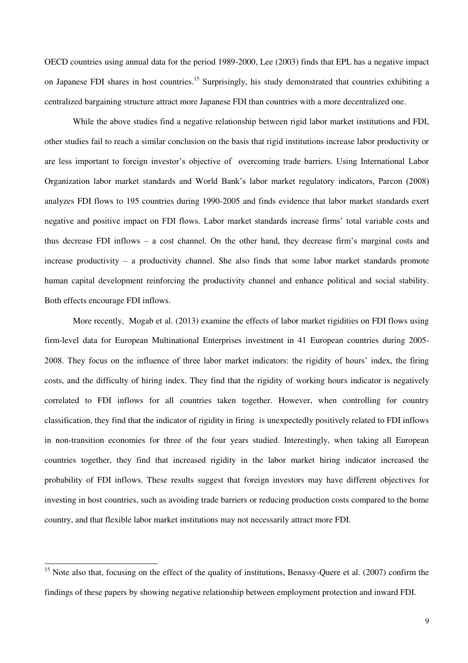OECD countries using annual data for the period 1989-2000, Lee (2003) finds that EPL has a negative impact on Japanese FDI shares in host countries.<sup>15</sup> Surprisingly, his study demonstrated that countries exhibiting a centralized bargaining structure attract more Japanese FDI than countries with a more decentralized one.

While the above studies find a negative relationship between rigid labor market institutions and FDI, other studies fail to reach a similar conclusion on the basis that rigid institutions increase labor productivity or are less important to foreign investor's objective of overcoming trade barriers. Using International Labor Organization labor market standards and World Bank's labor market regulatory indicators, Parcon (2008) analyzes FDI flows to 195 countries during 1990-2005 and finds evidence that labor market standards exert negative and positive impact on FDI flows. Labor market standards increase firms' total variable costs and thus decrease FDI inflows – a cost channel. On the other hand, they decrease firm's marginal costs and increase productivity – a productivity channel. She also finds that some labor market standards promote human capital development reinforcing the productivity channel and enhance political and social stability. Both effects encourage FDI inflows.

More recently, Mogab et al. (2013) examine the effects of labor market rigidities on FDI flows using firm-level data for European Multinational Enterprises investment in 41 European countries during 2005- 2008. They focus on the influence of three labor market indicators: the rigidity of hours' index, the firing costs, and the difficulty of hiring index. They find that the rigidity of working hours indicator is negatively correlated to FDI inflows for all countries taken together. However, when controlling for country classification, they find that the indicator of rigidity in firing is unexpectedly positively related to FDI inflows in non-transition economies for three of the four years studied. Interestingly, when taking all European countries together, they find that increased rigidity in the labor market hiring indicator increased the probability of FDI inflows. These results suggest that foreign investors may have different objectives for investing in host countries, such as avoiding trade barriers or reducing production costs compared to the home country, and that flexible labor market institutions may not necessarily attract more FDI.

<sup>&</sup>lt;sup>15</sup> Note also that, focusing on the effect of the quality of institutions, Benassy-Quere et al. (2007) confirm the findings of these papers by showing negative relationship between employment protection and inward FDI.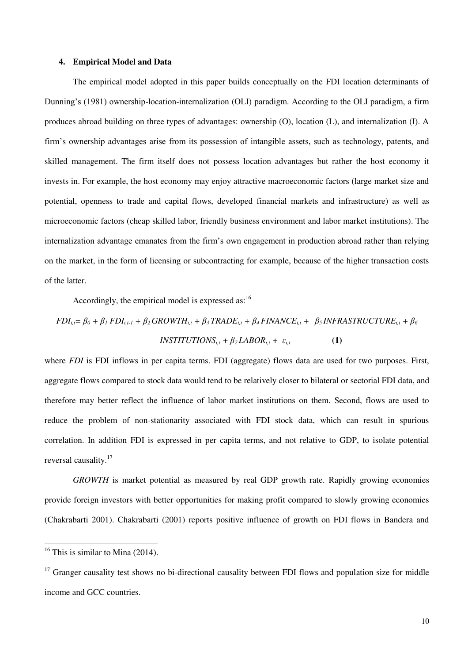#### **4. Empirical Model and Data**

The empirical model adopted in this paper builds conceptually on the FDI location determinants of Dunning's (1981) ownership-location-internalization (OLI) paradigm. According to the OLI paradigm, a firm produces abroad building on three types of advantages: ownership (O), location (L), and internalization (I). A firm's ownership advantages arise from its possession of intangible assets, such as technology, patents, and skilled management. The firm itself does not possess location advantages but rather the host economy it invests in. For example, the host economy may enjoy attractive macroeconomic factors (large market size and potential, openness to trade and capital flows, developed financial markets and infrastructure) as well as microeconomic factors (cheap skilled labor, friendly business environment and labor market institutions). The internalization advantage emanates from the firm's own engagement in production abroad rather than relying on the market, in the form of licensing or subcontracting for example, because of the higher transaction costs of the latter.

Accordingly, the empirical model is expressed as:  $16$ 

$$
FDI_{i,t} = \beta_0 + \beta_1 FDI_{i,t-1} + \beta_2 GROWTH_{i,t} + \beta_3 TRADE_{i,t} + \beta_4 FINANCE_{i,t} + \beta_5 INFRASTRUCTURE_{i,t} + \beta_6
$$
  
INSTITUTIONS<sub>i,t</sub> + \beta\_7 LABOR<sub>i,t</sub> + \varepsilon<sub>i,t</sub> (1)

where *FDI* is FDI inflows in per capita terms. FDI (aggregate) flows data are used for two purposes. First, aggregate flows compared to stock data would tend to be relatively closer to bilateral or sectorial FDI data, and therefore may better reflect the influence of labor market institutions on them. Second, flows are used to reduce the problem of non-stationarity associated with FDI stock data, which can result in spurious correlation. In addition FDI is expressed in per capita terms, and not relative to GDP, to isolate potential reversal causality.<sup>17</sup>

*GROWTH* is market potential as measured by real GDP growth rate. Rapidly growing economies provide foreign investors with better opportunities for making profit compared to slowly growing economies (Chakrabarti 2001). Chakrabarti (2001) reports positive influence of growth on FDI flows in Bandera and

 $16$  This is similar to Mina (2014).

<sup>&</sup>lt;sup>17</sup> Granger causality test shows no bi-directional causality between FDI flows and population size for middle income and GCC countries.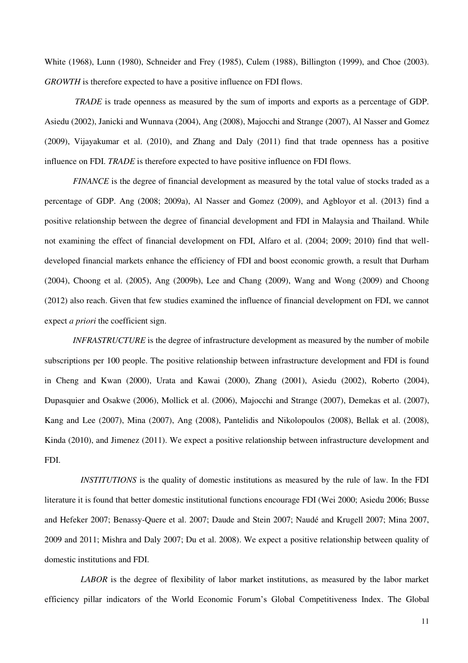White (1968), Lunn (1980), Schneider and Frey (1985), Culem (1988), Billington (1999), and Choe (2003). *GROWTH* is therefore expected to have a positive influence on FDI flows.

*TRADE* is trade openness as measured by the sum of imports and exports as a percentage of GDP. Asiedu (2002), Janicki and Wunnava (2004), Ang (2008), Majocchi and Strange (2007), Al Nasser and Gomez (2009), Vijayakumar et al. (2010), and Zhang and Daly (2011) find that trade openness has a positive influence on FDI. *TRADE* is therefore expected to have positive influence on FDI flows.

*FINANCE* is the degree of financial development as measured by the total value of stocks traded as a percentage of GDP. Ang (2008; 2009a), Al Nasser and Gomez (2009), and Agbloyor et al. (2013) find a positive relationship between the degree of financial development and FDI in Malaysia and Thailand. While not examining the effect of financial development on FDI, Alfaro et al. (2004; 2009; 2010) find that welldeveloped financial markets enhance the efficiency of FDI and boost economic growth, a result that Durham (2004), Choong et al. (2005), Ang (2009b), Lee and Chang (2009), Wang and Wong (2009) and Choong (2012) also reach. Given that few studies examined the influence of financial development on FDI, we cannot expect *a priori* the coefficient sign.

*INFRASTRUCTURE* is the degree of infrastructure development as measured by the number of mobile subscriptions per 100 people. The positive relationship between infrastructure development and FDI is found in Cheng and Kwan (2000), Urata and Kawai (2000), Zhang (2001), Asiedu (2002), Roberto (2004), Dupasquier and Osakwe (2006), Mollick et al. (2006), Majocchi and Strange (2007), Demekas et al. (2007), Kang and Lee (2007), Mina (2007), Ang (2008), Pantelidis and Nikolopoulos (2008), Bellak et al. (2008), Kinda (2010), and Jimenez (2011). We expect a positive relationship between infrastructure development and FDI.

 *INSTITUTIONS* is the quality of domestic institutions as measured by the rule of law. In the FDI literature it is found that better domestic institutional functions encourage FDI (Wei 2000; Asiedu 2006; Busse and Hefeker 2007; Benassy-Quere et al. 2007; Daude and Stein 2007; Naudé and Krugell 2007; Mina 2007, 2009 and 2011; Mishra and Daly 2007; Du et al. 2008). We expect a positive relationship between quality of domestic institutions and FDI.

*LABOR* is the degree of flexibility of labor market institutions, as measured by the labor market efficiency pillar indicators of the World Economic Forum's Global Competitiveness Index. The Global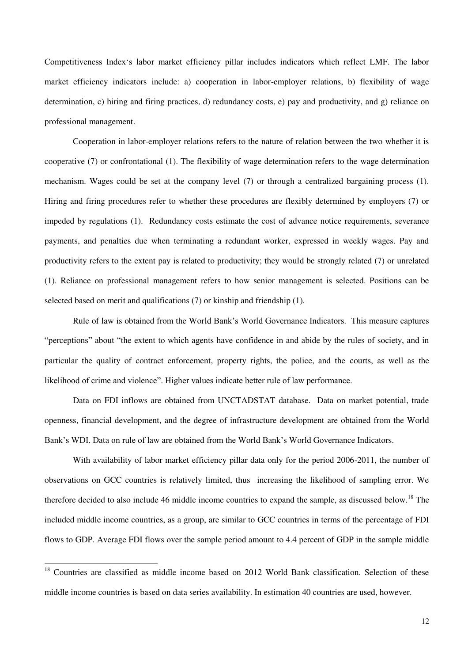Competitiveness Index's labor market efficiency pillar includes indicators which reflect LMF. The labor market efficiency indicators include: a) cooperation in labor-employer relations, b) flexibility of wage determination, c) hiring and firing practices, d) redundancy costs, e) pay and productivity, and g) reliance on professional management.

Cooperation in labor-employer relations refers to the nature of relation between the two whether it is cooperative (7) or confrontational (1). The flexibility of wage determination refers to the wage determination mechanism. Wages could be set at the company level (7) or through a centralized bargaining process (1). Hiring and firing procedures refer to whether these procedures are flexibly determined by employers (7) or impeded by regulations (1). Redundancy costs estimate the cost of advance notice requirements, severance payments, and penalties due when terminating a redundant worker, expressed in weekly wages. Pay and productivity refers to the extent pay is related to productivity; they would be strongly related (7) or unrelated (1). Reliance on professional management refers to how senior management is selected. Positions can be selected based on merit and qualifications (7) or kinship and friendship (1).

Rule of law is obtained from the World Bank's World Governance Indicators. This measure captures "perceptions" about "the extent to which agents have confidence in and abide by the rules of society, and in particular the quality of contract enforcement, property rights, the police, and the courts, as well as the likelihood of crime and violence". Higher values indicate better rule of law performance.

 Data on FDI inflows are obtained from UNCTADSTAT database. Data on market potential, trade openness, financial development, and the degree of infrastructure development are obtained from the World Bank's WDI. Data on rule of law are obtained from the World Bank's World Governance Indicators.

With availability of labor market efficiency pillar data only for the period 2006-2011, the number of observations on GCC countries is relatively limited, thus increasing the likelihood of sampling error. We therefore decided to also include 46 middle income countries to expand the sample, as discussed below.<sup>18</sup> The included middle income countries, as a group, are similar to GCC countries in terms of the percentage of FDI flows to GDP. Average FDI flows over the sample period amount to 4.4 percent of GDP in the sample middle

<sup>&</sup>lt;sup>18</sup> Countries are classified as middle income based on 2012 World Bank classification. Selection of these middle income countries is based on data series availability. In estimation 40 countries are used, however.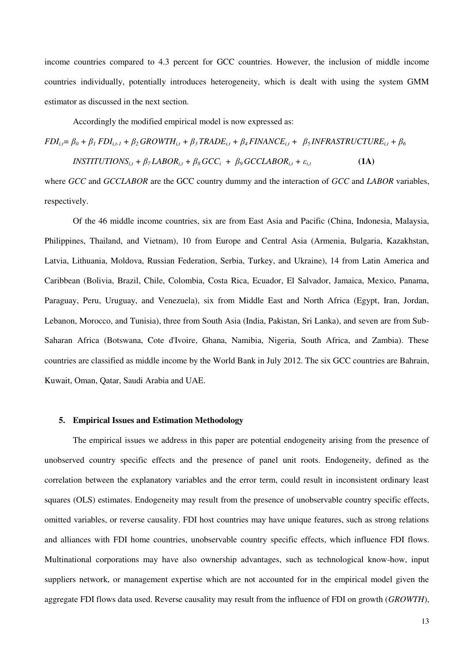income countries compared to 4.3 percent for GCC countries. However, the inclusion of middle income countries individually, potentially introduces heterogeneity, which is dealt with using the system GMM estimator as discussed in the next section.

Accordingly the modified empirical model is now expressed as:

$$
FDI_{i,t} = \beta_0 + \beta_1 FDI_{i,t-1} + \beta_2 GROWTH_{i,t} + \beta_3 TRADE_{i,t} + \beta_4 FINANCE_{i,t} + \beta_5 INFRASTRUCTURE_{i,t} + \beta_6
$$
  
INSTITUTIONS<sub>i,t</sub> + \beta\_7 LABOR<sub>i,t</sub> + \beta\_8 GCC<sub>i</sub> + \beta\_9 GCCLABOR<sub>i,t</sub> + \varepsilon<sub>i,t</sub> (1A)

where *GCC* and *GCCLABOR* are the GCC country dummy and the interaction of *GCC* and *LABOR* variables, respectively.

Of the 46 middle income countries, six are from East Asia and Pacific (China, Indonesia, Malaysia, Philippines, Thailand, and Vietnam), 10 from Europe and Central Asia (Armenia, Bulgaria, Kazakhstan, Latvia, Lithuania, Moldova, Russian Federation, Serbia, Turkey, and Ukraine), 14 from Latin America and Caribbean (Bolivia, Brazil, Chile, Colombia, Costa Rica, Ecuador, El Salvador, Jamaica, Mexico, Panama, Paraguay, Peru, Uruguay, and Venezuela), six from Middle East and North Africa (Egypt, Iran, Jordan, Lebanon, Morocco, and Tunisia), three from South Asia (India, Pakistan, Sri Lanka), and seven are from Sub-Saharan Africa (Botswana, Cote d'Ivoire, Ghana, Namibia, Nigeria, South Africa, and Zambia). These countries are classified as middle income by the World Bank in July 2012. The six GCC countries are Bahrain, Kuwait, Oman, Qatar, Saudi Arabia and UAE.

# **5. Empirical Issues and Estimation Methodology**

The empirical issues we address in this paper are potential endogeneity arising from the presence of unobserved country specific effects and the presence of panel unit roots. Endogeneity, defined as the correlation between the explanatory variables and the error term, could result in inconsistent ordinary least squares (OLS) estimates. Endogeneity may result from the presence of unobservable country specific effects, omitted variables, or reverse causality. FDI host countries may have unique features, such as strong relations and alliances with FDI home countries, unobservable country specific effects, which influence FDI flows. Multinational corporations may have also ownership advantages, such as technological know-how, input suppliers network, or management expertise which are not accounted for in the empirical model given the aggregate FDI flows data used. Reverse causality may result from the influence of FDI on growth (*GROWTH*),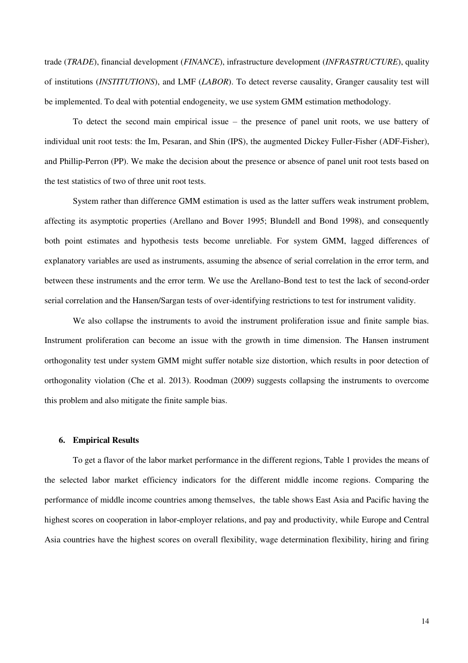trade (*TRADE*), financial development (*FINANCE*), infrastructure development (*INFRASTRUCTURE*), quality of institutions (*INSTITUTIONS*), and LMF (*LABOR*). To detect reverse causality, Granger causality test will be implemented. To deal with potential endogeneity, we use system GMM estimation methodology.

To detect the second main empirical issue – the presence of panel unit roots, we use battery of individual unit root tests: the Im, Pesaran, and Shin (IPS), the augmented Dickey Fuller-Fisher (ADF-Fisher), and Phillip-Perron (PP). We make the decision about the presence or absence of panel unit root tests based on the test statistics of two of three unit root tests.

System rather than difference GMM estimation is used as the latter suffers weak instrument problem, affecting its asymptotic properties (Arellano and Bover 1995; Blundell and Bond 1998), and consequently both point estimates and hypothesis tests become unreliable. For system GMM, lagged differences of explanatory variables are used as instruments, assuming the absence of serial correlation in the error term, and between these instruments and the error term. We use the Arellano-Bond test to test the lack of second-order serial correlation and the Hansen/Sargan tests of over-identifying restrictions to test for instrument validity.

We also collapse the instruments to avoid the instrument proliferation issue and finite sample bias. Instrument proliferation can become an issue with the growth in time dimension. The Hansen instrument orthogonality test under system GMM might suffer notable size distortion, which results in poor detection of orthogonality violation (Che et al. 2013). Roodman (2009) suggests collapsing the instruments to overcome this problem and also mitigate the finite sample bias.

### **6. Empirical Results**

To get a flavor of the labor market performance in the different regions, Table 1 provides the means of the selected labor market efficiency indicators for the different middle income regions. Comparing the performance of middle income countries among themselves, the table shows East Asia and Pacific having the highest scores on cooperation in labor-employer relations, and pay and productivity, while Europe and Central Asia countries have the highest scores on overall flexibility, wage determination flexibility, hiring and firing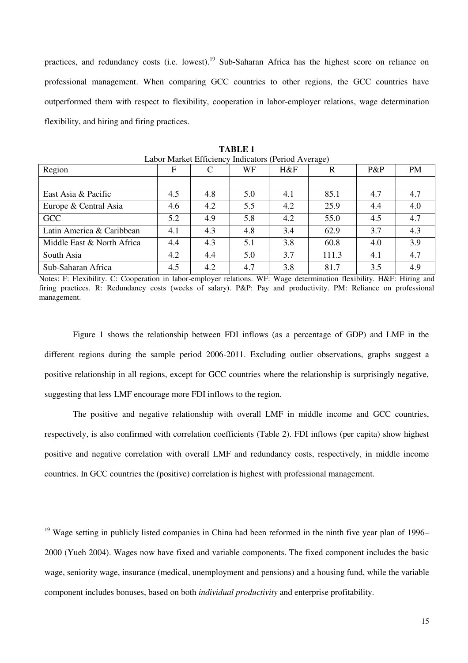practices, and redundancy costs (i.e. lowest).<sup>19</sup> Sub-Saharan Africa has the highest score on reliance on professional management. When comparing GCC countries to other regions, the GCC countries have outperformed them with respect to flexibility, cooperation in labor-employer relations, wage determination flexibility, and hiring and firing practices.

|                            | Labor Market Lincrency mureators (I cribu Average) |     |     |        |       |     |           |  |
|----------------------------|----------------------------------------------------|-----|-----|--------|-------|-----|-----------|--|
| Region                     | F                                                  | C   | WF  | $H\&F$ | R     | P&P | <b>PM</b> |  |
|                            |                                                    |     |     |        |       |     |           |  |
| East Asia & Pacific        | 4.5                                                | 4.8 | 5.0 | 4.1    | 85.1  | 4.7 | 4.7       |  |
| Europe & Central Asia      | 4.6                                                | 4.2 | 5.5 | 4.2    | 25.9  | 4.4 | 4.0       |  |
| <b>GCC</b>                 | 5.2                                                | 4.9 | 5.8 | 4.2    | 55.0  | 4.5 | 4.7       |  |
| Latin America & Caribbean  | 4.1                                                | 4.3 | 4.8 | 3.4    | 62.9  | 3.7 | 4.3       |  |
| Middle East & North Africa | 4.4                                                | 4.3 | 5.1 | 3.8    | 60.8  | 4.0 | 3.9       |  |
| South Asia                 | 4.2                                                | 4.4 | 5.0 | 3.7    | 111.3 | 4.1 | 4.7       |  |
| Sub-Saharan Africa         | 4.5                                                | 4.2 | 4.7 | 3.8    | 81.7  | 3.5 | 4.9       |  |

**TABLE 1**  Labor Market Efficiency Indicators (Period Average)

Notes: F: Flexibility. C: Cooperation in labor-employer relations. WF: Wage determination flexibility. H&F: Hiring and firing practices. R: Redundancy costs (weeks of salary). P&P: Pay and productivity. PM: Reliance on professional management.

Figure 1 shows the relationship between FDI inflows (as a percentage of GDP) and LMF in the different regions during the sample period 2006-2011. Excluding outlier observations, graphs suggest a positive relationship in all regions, except for GCC countries where the relationship is surprisingly negative, suggesting that less LMF encourage more FDI inflows to the region.

The positive and negative relationship with overall LMF in middle income and GCC countries, respectively, is also confirmed with correlation coefficients (Table 2). FDI inflows (per capita) show highest positive and negative correlation with overall LMF and redundancy costs, respectively, in middle income countries. In GCC countries the (positive) correlation is highest with professional management.

<sup>&</sup>lt;sup>19</sup> Wage setting in publicly listed companies in China had been reformed in the ninth five year plan of 1996– 2000 (Yueh 2004). Wages now have fixed and variable components. The fixed component includes the basic wage, seniority wage, insurance (medical, unemployment and pensions) and a housing fund, while the variable component includes bonuses, based on both *individual productivity* and enterprise profitability.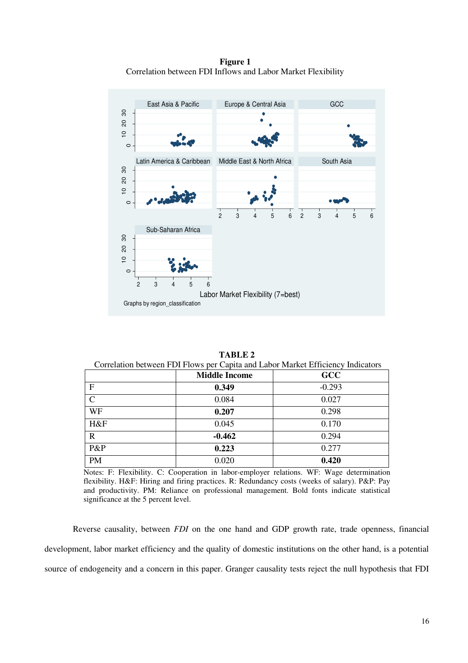**Figure 1**  Correlation between FDI Inflows and Labor Market Flexibility



**TABLE 2**  Correlation between FDI Flows per Capita and Labor Market Efficiency Indicators

|              | <b>Middle Income</b> | GCC      |
|--------------|----------------------|----------|
| F            | 0.349                | $-0.293$ |
| $\mathsf{C}$ | 0.084                | 0.027    |
| WF           | 0.207                | 0.298    |
| H&F          | 0.045                | 0.170    |
| $\mathsf{R}$ | $-0.462$             | 0.294    |
| P&P          | 0.223                | 0.277    |
| <b>PM</b>    | 0.020                | 0.420    |

Notes: F: Flexibility. C: Cooperation in labor-employer relations. WF: Wage determination flexibility. H&F: Hiring and firing practices. R: Redundancy costs (weeks of salary). P&P: Pay and productivity. PM: Reliance on professional management. Bold fonts indicate statistical significance at the 5 percent level.

Reverse causality, between *FDI* on the one hand and GDP growth rate, trade openness, financial development, labor market efficiency and the quality of domestic institutions on the other hand, is a potential source of endogeneity and a concern in this paper. Granger causality tests reject the null hypothesis that FDI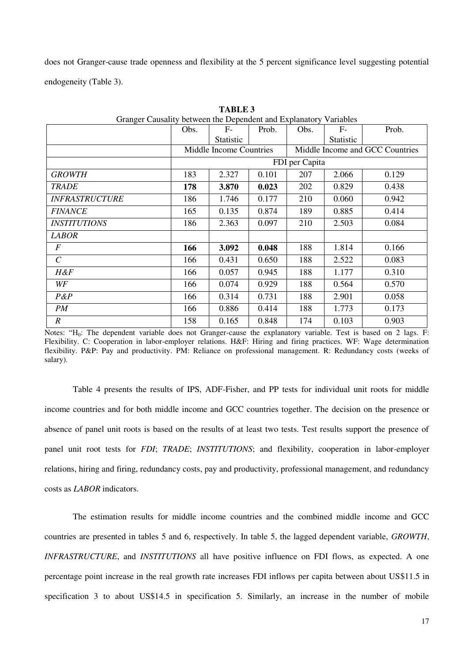does not Granger-cause trade openness and flexibility at the 5 percent significance level suggesting potential endogeneity (Table 3).

| Granger Causality between the Dependent and Explanatory Variables |      |                         |       |                |                  |                                 |
|-------------------------------------------------------------------|------|-------------------------|-------|----------------|------------------|---------------------------------|
|                                                                   | Obs. | $F-$                    | Prob. | Obs.           | $F-$             | Prob.                           |
|                                                                   |      | <b>Statistic</b>        |       |                | <b>Statistic</b> |                                 |
|                                                                   |      | Middle Income Countries |       |                |                  | Middle Income and GCC Countries |
|                                                                   |      |                         |       | FDI per Capita |                  |                                 |
| <b>GROWTH</b>                                                     | 183  | 2.327                   | 0.101 | 207            | 2.066            | 0.129                           |
| <b>TRADE</b>                                                      | 178  | 3.870                   | 0.023 | 202            | 0.829            | 0.438                           |
| <b>INFRASTRUCTURE</b>                                             | 186  | 1.746                   | 0.177 | 210            | 0.060            | 0.942                           |
| <b>FINANCE</b>                                                    | 165  | 0.135                   | 0.874 | 189            | 0.885            | 0.414                           |
| <b>INSTITUTIONS</b>                                               | 186  | 2.363                   | 0.097 | 210            | 2.503            | 0.084                           |
| <b>LABOR</b>                                                      |      |                         |       |                |                  |                                 |
| $\boldsymbol{F}$                                                  | 166  | 3.092                   | 0.048 | 188            | 1.814            | 0.166                           |
| $\mathcal{C}_{0}^{0}$                                             | 166  | 0.431                   | 0.650 | 188            | 2.522            | 0.083                           |
| $H\&F$                                                            | 166  | 0.057                   | 0.945 | 188            | 1.177            | 0.310                           |
| WF                                                                | 166  | 0.074                   | 0.929 | 188            | 0.564            | 0.570                           |
| $P\&P$                                                            | 166  | 0.314                   | 0.731 | 188            | 2.901            | 0.058                           |
| PM                                                                | 166  | 0.886                   | 0.414 | 188            | 1.773            | 0.173                           |
| $\boldsymbol{R}$                                                  | 158  | 0.165                   | 0.848 | 174            | 0.103            | 0.903                           |

**TABLE 3** 

Notes: " $H_0$ : The dependent variable does not Granger-cause the explanatory variable. Test is based on 2 lags. F: Flexibility. C: Cooperation in labor-employer relations. H&F: Hiring and firing practices. WF: Wage determination flexibility. P&P: Pay and productivity. PM: Reliance on professional management. R: Redundancy costs (weeks of salary).

Table 4 presents the results of IPS, ADF-Fisher, and PP tests for individual unit roots for middle income countries and for both middle income and GCC countries together. The decision on the presence or absence of panel unit roots is based on the results of at least two tests. Test results support the presence of panel unit root tests for *FDI*; *TRADE*; *INSTITUTIONS*; and flexibility, cooperation in labor-employer relations, hiring and firing, redundancy costs, pay and productivity, professional management, and redundancy costs as *LABOR* indicators.

The estimation results for middle income countries and the combined middle income and GCC countries are presented in tables 5 and 6, respectively. In table 5, the lagged dependent variable, *GROWTH*, *INFRASTRUCTURE*, and *INSTITUTIONS* all have positive influence on FDI flows, as expected. A one percentage point increase in the real growth rate increases FDI inflows per capita between about US\$11.5 in specification 3 to about US\$14.5 in specification 5. Similarly, an increase in the number of mobile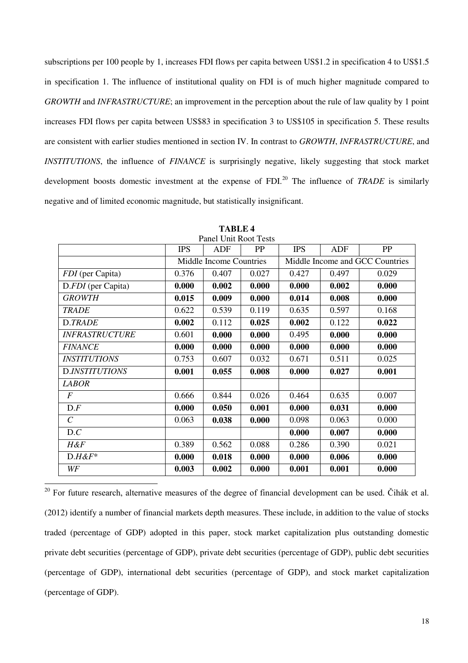subscriptions per 100 people by 1, increases FDI flows per capita between US\$1.2 in specification 4 to US\$1.5 in specification 1. The influence of institutional quality on FDI is of much higher magnitude compared to *GROWTH* and *INFRASTRUCTURE*; an improvement in the perception about the rule of law quality by 1 point increases FDI flows per capita between US\$83 in specification 3 to US\$105 in specification 5. These results are consistent with earlier studies mentioned in section IV. In contrast to *GROWTH*, *INFRASTRUCTURE*, and *INSTITUTIONS*, the influence of *FINANCE* is surprisingly negative, likely suggesting that stock market development boosts domestic investment at the expense of FDI.<sup>20</sup> The influence of *TRADE* is similarly negative and of limited economic magnitude, but statistically insignificant.

|                              | <b>IPS</b> | ADF                     | PP    | <b>IPS</b> | ADF                             | PP    |
|------------------------------|------------|-------------------------|-------|------------|---------------------------------|-------|
|                              |            | Middle Income Countries |       |            | Middle Income and GCC Countries |       |
| FDI (per Capita)             | 0.376      | 0.407                   | 0.027 | 0.427      | 0.497                           | 0.029 |
| D.FDI (per Capita)           | 0.000      | 0.002                   | 0.000 | 0.000      | 0.002                           | 0.000 |
| <b>GROWTH</b>                | 0.015      | 0.009                   | 0.000 | 0.014      | 0.008                           | 0.000 |
| <b>TRADE</b>                 | 0.622      | 0.539                   | 0.119 | 0.635      | 0.597                           | 0.168 |
| D.TRADE                      | 0.002      | 0.112                   | 0.025 | 0.002      | 0.122                           | 0.022 |
| <i><b>INFRASTRUCTURE</b></i> | 0.601      | 0.000                   | 0.000 | 0.495      | 0.000                           | 0.000 |
| <b>FINANCE</b>               | 0.000      | 0.000                   | 0.000 | 0.000      | 0.000                           | 0.000 |
| <b>INSTITUTIONS</b>          | 0.753      | 0.607                   | 0.032 | 0.671      | 0.511                           | 0.025 |
| D.INSTITUTIONS               | 0.001      | 0.055                   | 0.008 | 0.000      | 0.027                           | 0.001 |
| <b>LABOR</b>                 |            |                         |       |            |                                 |       |
| $\boldsymbol{F}$             | 0.666      | 0.844                   | 0.026 | 0.464      | 0.635                           | 0.007 |
| D.F                          | 0.000      | 0.050                   | 0.001 | 0.000      | 0.031                           | 0.000 |
| $\mathcal{C}_{0}^{0}$        | 0.063      | 0.038                   | 0.000 | 0.098      | 0.063                           | 0.000 |
| D.C                          |            |                         |       | 0.000      | 0.007                           | 0.000 |
| $H\&F$                       | 0.389      | 0.562                   | 0.088 | 0.286      | 0.390                           | 0.021 |
| $D.H\&F^*$                   | 0.000      | 0.018                   | 0.000 | 0.000      | 0.006                           | 0.000 |
| WF                           | 0.003      | 0.002                   | 0.000 | 0.001      | 0.001                           | 0.000 |

**TABLE 4**  Panel Unit Root Tests

<sup>20</sup> For future research, alternative measures of the degree of financial development can be used. Čihák et al. (2012) identify a number of financial markets depth measures. These include, in addition to the value of stocks traded (percentage of GDP) adopted in this paper, stock market capitalization plus outstanding domestic private debt securities (percentage of GDP), private debt securities (percentage of GDP), public debt securities (percentage of GDP), international debt securities (percentage of GDP), and stock market capitalization (percentage of GDP).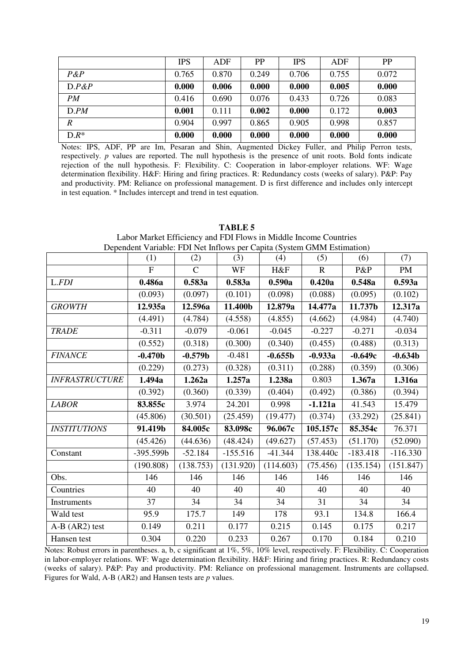|                  | <b>IPS</b> | ADF   | PP    | <b>IPS</b> | ADF   | <b>PP</b> |
|------------------|------------|-------|-------|------------|-------|-----------|
| $P\&P$           | 0.765      | 0.870 | 0.249 | 0.706      | 0.755 | 0.072     |
| $D.P\&P$         | 0.000      | 0.006 | 0.000 | 0.000      | 0.005 | 0.000     |
| PM               | 0.416      | 0.690 | 0.076 | 0.433      | 0.726 | 0.083     |
| D.PM             | 0.001      | 0.111 | 0.002 | 0.000      | 0.172 | 0.003     |
| $\boldsymbol{R}$ | 0.904      | 0.997 | 0.865 | 0.905      | 0.998 | 0.857     |
| $D.R^*$          | 0.000      | 0.000 | 0.000 | 0.000      | 0.000 | 0.000     |

Notes: IPS, ADF, PP are Im, Pesaran and Shin, Augmented Dickey Fuller, and Philip Perron tests, respectively. *p* values are reported. The null hypothesis is the presence of unit roots. Bold fonts indicate rejection of the null hypothesis. F: Flexibility. C: Cooperation in labor-employer relations. WF: Wage determination flexibility. H&F: Hiring and firing practices. R: Redundancy costs (weeks of salary). P&P: Pay and productivity. PM: Reliance on professional management. D is first difference and includes only intercept in test equation. \* Includes intercept and trend in test equation.

# **TABLE 5**  Labor Market Efficiency and FDI Flows in Middle Income Countries Dependent Variable: FDI Net Inflows per Capita (System GMM Estimation)

|                       | (1)          | (2)            | (3)        | (4)       | (5)          | (6)        | (7)        |
|-----------------------|--------------|----------------|------------|-----------|--------------|------------|------------|
|                       | $\mathbf{F}$ | $\overline{C}$ | WF         | H&F       | $\mathbb{R}$ | P&P        | <b>PM</b>  |
| L.FDI                 | 0.486a       | 0.583a         | 0.583a     | 0.590a    | 0.420a       | 0.548a     | 0.593a     |
|                       | (0.093)      | (0.097)        | (0.101)    | (0.098)   | (0.088)      | (0.095)    | (0.102)    |
| <b>GROWTH</b>         | 12.935a      | 12.596a        | 11.400b    | 12.879a   | 14.477a      | 11.737b    | 12.317a    |
|                       | (4.491)      | (4.784)        | (4.558)    | (4.855)   | (4.662)      | (4.984)    | (4.740)    |
| <b>TRADE</b>          | $-0.311$     | $-0.079$       | $-0.061$   | $-0.045$  | $-0.227$     | $-0.271$   | $-0.034$   |
|                       | (0.552)      | (0.318)        | (0.300)    | (0.340)   | (0.455)      | (0.488)    | (0.313)    |
| <b>FINANCE</b>        | $-0.470b$    | $-0.579b$      | $-0.481$   | $-0.655b$ | $-0.933a$    | $-0.649c$  | $-0.634b$  |
|                       | (0.229)      | (0.273)        | (0.328)    | (0.311)   | (0.288)      | (0.359)    | (0.306)    |
| <b>INFRASTRUCTURE</b> | 1.494a       | 1.262a         | 1.257a     | 1.238a    | 0.803        | 1.367a     | 1.316a     |
|                       | (0.392)      | (0.360)        | (0.339)    | (0.404)   | (0.492)      | (0.386)    | (0.394)    |
| <b>LABOR</b>          | 83.855c      | 3.974          | 24.201     | 0.998     | $-1.121a$    | 41.543     | 15.479     |
|                       | (45.806)     | (30.501)       | (25.459)   | (19.477)  | (0.374)      | (33.292)   | (25.841)   |
| <b>INSTITUTIONS</b>   | 91.419b      | 84.005c        | 83.098c    | 96.067c   | 105.157c     | 85.354c    | 76.371     |
|                       | (45.426)     | (44.636)       | (48.424)   | (49.627)  | (57.453)     | (51.170)   | (52.090)   |
| Constant              | $-395.599b$  | $-52.184$      | $-155.516$ | $-41.344$ | 138.440c     | $-183.418$ | $-116.330$ |
|                       | (190.808)    | (138.753)      | (131.920)  | (114.603) | (75.456)     | (135.154)  | (151.847)  |
| Obs.                  | 146          | 146            | 146        | 146       | 146          | 146        | 146        |
| Countries             | 40           | 40             | 40         | 40        | 40           | 40         | 40         |
| Instruments           | 37           | 34             | 34         | 34        | 31           | 34         | 34         |
| Wald test             | 95.9         | 175.7          | 149        | 178       | 93.1         | 134.8      | 166.4      |
| $A-B$ (AR2) test      | 0.149        | 0.211          | 0.177      | 0.215     | 0.145        | 0.175      | 0.217      |
| Hansen test           | 0.304        | 0.220          | 0.233      | 0.267     | 0.170        | 0.184      | 0.210      |

Notes: Robust errors in parentheses. a, b, c significant at 1%, 5%, 10% level, respectively. F: Flexibility. C: Cooperation in labor-employer relations. WF: Wage determination flexibility. H&F: Hiring and firing practices. R: Redundancy costs (weeks of salary). P&P: Pay and productivity. PM: Reliance on professional management. Instruments are collapsed. Figures for Wald, A-B (AR2) and Hansen tests are *p* values.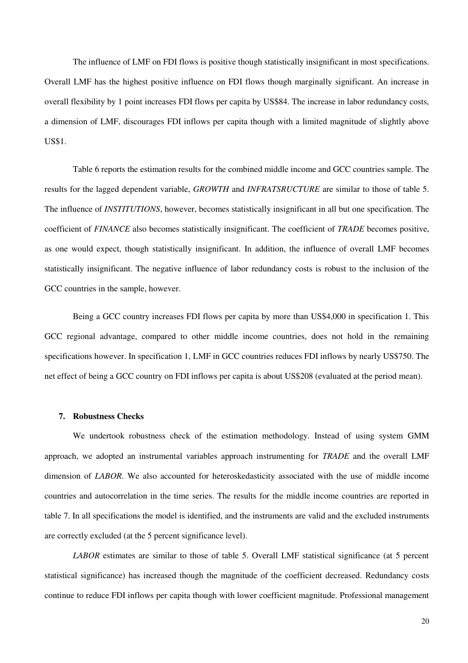The influence of LMF on FDI flows is positive though statistically insignificant in most specifications. Overall LMF has the highest positive influence on FDI flows though marginally significant. An increase in overall flexibility by 1 point increases FDI flows per capita by US\$84. The increase in labor redundancy costs, a dimension of LMF, discourages FDI inflows per capita though with a limited magnitude of slightly above US\$1.

Table 6 reports the estimation results for the combined middle income and GCC countries sample. The results for the lagged dependent variable, *GROWTH* and *INFRATSRUCTURE* are similar to those of table 5. The influence of *INSTITUTIONS*, however, becomes statistically insignificant in all but one specification. The coefficient of *FINANCE* also becomes statistically insignificant. The coefficient of *TRADE* becomes positive, as one would expect, though statistically insignificant. In addition, the influence of overall LMF becomes statistically insignificant. The negative influence of labor redundancy costs is robust to the inclusion of the GCC countries in the sample, however.

Being a GCC country increases FDI flows per capita by more than US\$4,000 in specification 1. This GCC regional advantage, compared to other middle income countries, does not hold in the remaining specifications however. In specification 1, LMF in GCC countries reduces FDI inflows by nearly US\$750. The net effect of being a GCC country on FDI inflows per capita is about US\$208 (evaluated at the period mean).

#### **7. Robustness Checks**

We undertook robustness check of the estimation methodology. Instead of using system GMM approach, we adopted an instrumental variables approach instrumenting for *TRADE* and the overall LMF dimension of *LABOR*. We also accounted for heteroskedasticity associated with the use of middle income countries and autocorrelation in the time series. The results for the middle income countries are reported in table 7. In all specifications the model is identified, and the instruments are valid and the excluded instruments are correctly excluded (at the 5 percent significance level).

*LABOR* estimates are similar to those of table 5. Overall LMF statistical significance (at 5 percent statistical significance) has increased though the magnitude of the coefficient decreased. Redundancy costs continue to reduce FDI inflows per capita though with lower coefficient magnitude. Professional management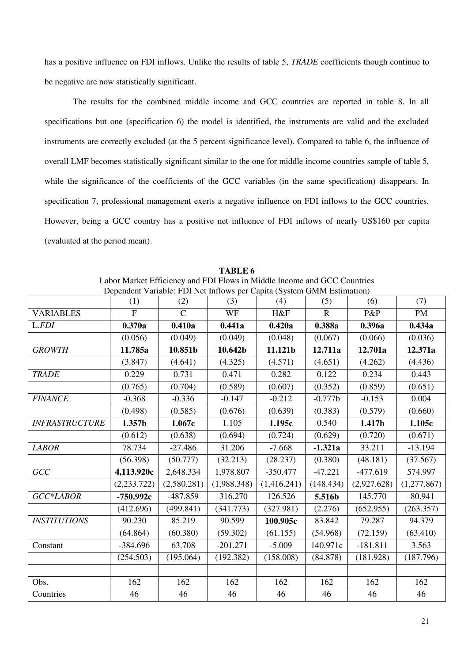has a positive influence on FDI inflows. Unlike the results of table 5, *TRADE* coefficients though continue to be negative are now statistically significant.

The results for the combined middle income and GCC countries are reported in table 8. In all specifications but one (specification 6) the model is identified, the instruments are valid and the excluded instruments are correctly excluded (at the 5 percent significance level). Compared to table 6, the influence of overall LMF becomes statistically significant similar to the one for middle income countries sample of table 5, while the significance of the coefficients of the GCC variables (in the same specification) disappears. In specification 7, professional management exerts a negative influence on FDI inflows to the GCC countries. However, being a GCC country has a positive net influence of FDI inflows of nearly US\$160 per capita (evaluated at the period mean).

| Dependent Variable: FDI Net Inflows per Capita (System GMM Estimation) |                |                |             |             |             |             |             |  |  |
|------------------------------------------------------------------------|----------------|----------------|-------------|-------------|-------------|-------------|-------------|--|--|
|                                                                        | (1)            | (2)            | (3)         | (4)         | (5)         | (6)         | (7)         |  |  |
| <b>VARIABLES</b>                                                       | $\overline{F}$ | $\overline{C}$ | WF          | H&F         | $\mathbf R$ | P&P         | PM          |  |  |
| L.FDI                                                                  | 0.370a         | 0.410a         | 0.441a      | 0.420a      | 0.388a      | 0.396a      | 0.434a      |  |  |
|                                                                        | (0.056)        | (0.049)        | (0.049)     | (0.048)     | (0.067)     | (0.066)     | (0.036)     |  |  |
| <b>GROWTH</b>                                                          | 11.785a        | 10.851b        | 10.642b     | 11.121b     | 12.711a     | 12.701a     | 12.371a     |  |  |
|                                                                        | (3.847)        | (4.641)        | (4.325)     | (4.571)     | (4.651)     | (4.262)     | (4.436)     |  |  |
| <b>TRADE</b>                                                           | 0.229          | 0.731          | 0.471       | 0.282       | 0.122       | 0.234       | 0.443       |  |  |
|                                                                        | (0.765)        | (0.704)        | (0.589)     | (0.607)     | (0.352)     | (0.859)     | (0.651)     |  |  |
| <b>FINANCE</b>                                                         | $-0.368$       | $-0.336$       | $-0.147$    | $-0.212$    | $-0.777b$   | $-0.153$    | 0.004       |  |  |
|                                                                        | (0.498)        | (0.585)        | (0.676)     | (0.639)     | (0.383)     | (0.579)     | (0.660)     |  |  |
| <b>INFRASTRUCTURE</b>                                                  | 1.357b         | 1.067c         | 1.105       | 1.195c      | 0.540       | 1.417b      | 1.105c      |  |  |
|                                                                        | (0.612)        | (0.638)        | (0.694)     | (0.724)     | (0.629)     | (0.720)     | (0.671)     |  |  |
| <b>LABOR</b>                                                           | 78.734         | $-27.486$      | 31.206      | $-7.668$    | $-1.321a$   | 33.211      | $-13.194$   |  |  |
|                                                                        | (56.398)       | (50.777)       | (32.213)    | (28.237)    | (0.380)     | (48.181)    | (37.567)    |  |  |
| <b>GCC</b>                                                             | 4,113.920c     | 2,648.334      | 1,978.807   | $-350.477$  | $-47.221$   | $-477.619$  | 574.997     |  |  |
|                                                                        | (2, 233.722)   | (2,580.281)    | (1,988.348) | (1,416.241) | (148.434)   | (2,927.628) | (1,277.867) |  |  |
| GCC*LABOR                                                              | $-750.992c$    | $-487.859$     | $-316.270$  | 126.526     | 5.516b      | 145.770     | $-80.941$   |  |  |
|                                                                        | (412.696)      | (499.841)      | (341.773)   | (327.981)   | (2.276)     | (652.955)   | (263.357)   |  |  |
| <b>INSTITUTIONS</b>                                                    | 90.230         | 85.219         | 90.599      | 100.905c    | 83.842      | 79.287      | 94.379      |  |  |
|                                                                        | (64.864)       | (60.380)       | (59.302)    | (61.155)    | (54.968)    | (72.159)    | (63.410)    |  |  |
| Constant                                                               | $-384.696$     | 63.708         | $-201.271$  | $-5.009$    | 140.971c    | $-181.811$  | 3.563       |  |  |
|                                                                        | (254.503)      | (195.064)      | (192.382)   | (158.008)   | (84.878)    | (181.928)   | (187.796)   |  |  |
|                                                                        |                |                |             |             |             |             |             |  |  |
| Obs.                                                                   | 162            | 162            | 162         | 162         | 162         | 162         | 162         |  |  |
| Countries                                                              | 46             | 46             | 46          | 46          | 46          | 46          | 46          |  |  |

**TABLE 6**  Labor Market Efficiency and FDI Flows in Middle Income and GCC Countries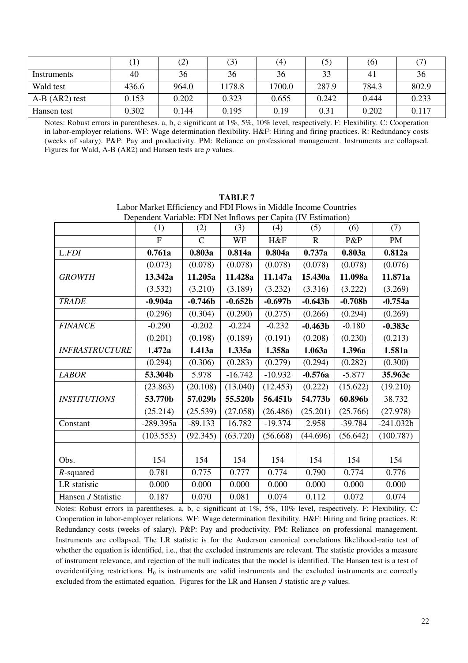|                  |       | (2)   | (3)    | (4)    |       | (6)   |       |
|------------------|-------|-------|--------|--------|-------|-------|-------|
| Instruments      | 40    | 36    | 36     | 36     | 33    | 41    | 36    |
| Wald test        | 436.6 | 964.0 | 1178.8 | 1700.0 | 287.9 | 784.3 | 802.9 |
| $A-B$ (AR2) test | 0.153 | 0.202 | 0.323  | 0.655  | 0.242 | 0.444 | 0.233 |
| Hansen test      | 0.302 | 0.144 | 0.195  | 0.19   | 0.31  | 0.202 | 0.117 |

Notes: Robust errors in parentheses. a, b, c significant at 1%, 5%, 10% level, respectively. F: Flexibility. C: Cooperation in labor-employer relations. WF: Wage determination flexibility. H&F: Hiring and firing practices. R: Redundancy costs (weeks of salary). P&P: Pay and productivity. PM: Reliance on professional management. Instruments are collapsed. Figures for Wald, A-B (AR2) and Hansen tests are *p* values.

|                       | Dependent variable: FDI Net inflows per Capita (TV Estimation) |              |           |           |             |           |             |  |  |  |
|-----------------------|----------------------------------------------------------------|--------------|-----------|-----------|-------------|-----------|-------------|--|--|--|
|                       | (1)                                                            | (2)          | (3)       | (4)       | (5)         | (6)       | (7)         |  |  |  |
|                       | $\overline{F}$                                                 | $\mathsf{C}$ | WF        | H&F       | $\mathbf R$ | P&P       | <b>PM</b>   |  |  |  |
| L.FDI                 | 0.761a                                                         | 0.803a       | 0.814a    | 0.804a    | 0.737a      | 0.803a    | 0.812a      |  |  |  |
|                       | (0.073)                                                        | (0.078)      | (0.078)   | (0.078)   | (0.078)     | (0.078)   | (0.076)     |  |  |  |
| <b>GROWTH</b>         | 13.342a                                                        | 11.205a      | 11.428a   | 11.147a   | 15.430a     | 11.098a   | 11.871a     |  |  |  |
|                       | (3.532)                                                        | (3.210)      | (3.189)   | (3.232)   | (3.316)     | (3.222)   | (3.269)     |  |  |  |
| <b>TRADE</b>          | $-0.904a$                                                      | $-0.746b$    | $-0.652b$ | $-0.697b$ | $-0.643b$   | $-0.708b$ | $-0.754a$   |  |  |  |
|                       | (0.296)                                                        | (0.304)      | (0.290)   | (0.275)   | (0.266)     | (0.294)   | (0.269)     |  |  |  |
| <b>FINANCE</b>        | $-0.290$                                                       | $-0.202$     | $-0.224$  | $-0.232$  | $-0.463b$   | $-0.180$  | $-0.383c$   |  |  |  |
|                       | (0.201)                                                        | (0.198)      | (0.189)   | (0.191)   | (0.208)     | (0.230)   | (0.213)     |  |  |  |
| <b>INFRASTRUCTURE</b> | 1.472a                                                         | 1.413a       | 1.335a    | 1.358a    | 1.063a      | 1.396a    | 1.581a      |  |  |  |
|                       | (0.294)                                                        | (0.306)      | (0.283)   | (0.279)   | (0.294)     | (0.282)   | (0.300)     |  |  |  |
| <b>LABOR</b>          | 53.304b                                                        | 5.978        | $-16.742$ | $-10.932$ | $-0.576a$   | $-5.877$  | 35.963c     |  |  |  |
|                       | (23.863)                                                       | (20.108)     | (13.040)  | (12.453)  | (0.222)     | (15.622)  | (19.210)    |  |  |  |
| <b>INSTITUTIONS</b>   | 53.770b                                                        | 57.029b      | 55.520b   | 56.451b   | 54.773b     | 60.896b   | 38.732      |  |  |  |
|                       | (25.214)                                                       | (25.539)     | (27.058)  | (26.486)  | (25.201)    | (25.766)  | (27.978)    |  |  |  |
| Constant              | $-289.395a$                                                    | $-89.133$    | 16.782    | $-19.374$ | 2.958       | $-39.784$ | $-241.032b$ |  |  |  |
|                       | (103.553)                                                      | (92.345)     | (63.720)  | (56.668)  | (44.696)    | (56.642)  | (100.787)   |  |  |  |
|                       |                                                                |              |           |           |             |           |             |  |  |  |
| Obs.                  | 154                                                            | 154          | 154       | 154       | 154         | 154       | 154         |  |  |  |
| R-squared             | 0.781                                                          | 0.775        | 0.777     | 0.774     | 0.790       | 0.774     | 0.776       |  |  |  |
| LR statistic          | 0.000                                                          | 0.000        | 0.000     | 0.000     | 0.000       | 0.000     | 0.000       |  |  |  |
| Hansen J Statistic    | 0.187                                                          | 0.070        | 0.081     | 0.074     | 0.112       | 0.072     | 0.074       |  |  |  |

**TABLE 7**  Labor Market Efficiency and FDI Flows in Middle Income Countries  $D = L \times \mathbf{V}$  is  $\mathbf{V} = \mathbf{V} \times \mathbf{V}$  . FDI Net  $\mathbf{V} = \mathbf{V} \times \mathbf{V}$ 

Notes: Robust errors in parentheses. a, b, c significant at 1%, 5%, 10% level, respectively. F: Flexibility. C: Cooperation in labor-employer relations. WF: Wage determination flexibility. H&F: Hiring and firing practices. R: Redundancy costs (weeks of salary). P&P: Pay and productivity. PM: Reliance on professional management. Instruments are collapsed. The LR statistic is for the Anderson canonical correlations likelihood-ratio test of whether the equation is identified, i.e., that the excluded instruments are relevant. The statistic provides a measure of instrument relevance, and rejection of the null indicates that the model is identified. The Hansen test is a test of overidentifying restrictions.  $H_0$  is instruments are valid instruments and the excluded instruments are correctly excluded from the estimated equation. Figures for the LR and Hansen *J* statistic are *p* values.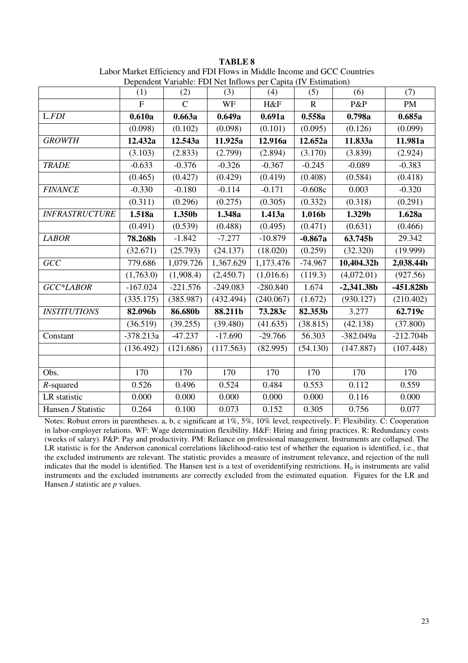|                       | (1)          | Dependent Variable. I DI i vet inflows per Capita (IV Estimation)<br>(2) | (3)        | (4)        | (5)         | (6)          | (7)         |
|-----------------------|--------------|--------------------------------------------------------------------------|------------|------------|-------------|--------------|-------------|
|                       | $\mathbf{F}$ | $\overline{C}$                                                           | WF         | H&F        | $\mathbf R$ | P&P          | PM          |
| L.FDI                 | 0.610a       | 0.663a                                                                   | 0.649a     | 0.691a     | 0.558a      | 0.798a       | 0.685a      |
|                       | (0.098)      | (0.102)                                                                  | (0.098)    | (0.101)    | (0.095)     | (0.126)      | (0.099)     |
| <b>GROWTH</b>         | 12.432a      | 12.543a                                                                  | 11.925a    | 12.916a    | 12.652a     | 11.833a      | 11.981a     |
|                       | (3.103)      | (2.833)                                                                  | (2.799)    | (2.894)    | (3.170)     | (3.839)      | (2.924)     |
| <b>TRADE</b>          | $-0.633$     | $-0.376$                                                                 | $-0.326$   | $-0.367$   | $-0.245$    | $-0.089$     | $-0.383$    |
|                       | (0.465)      | (0.427)                                                                  | (0.429)    | (0.419)    | (0.408)     | (0.584)      | (0.418)     |
| <b>FINANCE</b>        | $-0.330$     | $-0.180$                                                                 | $-0.114$   | $-0.171$   | $-0.608c$   | 0.003        | $-0.320$    |
|                       | (0.311)      | (0.296)                                                                  | (0.275)    | (0.305)    | (0.332)     | (0.318)      | (0.291)     |
| <b>INFRASTRUCTURE</b> | 1.518a       | 1.350b                                                                   | 1.348a     | 1.413a     | 1.016b      | 1.329b       | 1.628a      |
|                       | (0.491)      | (0.539)                                                                  | (0.488)    | (0.495)    | (0.471)     | (0.631)      | (0.466)     |
| <b>LABOR</b>          | 78.268b      | $-1.842$                                                                 | $-7.277$   | $-10.879$  | $-0.867a$   | 63.745b      | 29.342      |
|                       | (32.671)     | (25.793)                                                                 | (24.137)   | (18.020)   | (0.259)     | (32.320)     | (19.999)    |
| GCC                   | 779.686      | 1,079.726                                                                | 1,367.629  | 1,173.476  | $-74.967$   | 10,404.32b   | 2,038.44b   |
|                       | (1,763.0)    | (1,908.4)                                                                | (2,450.7)  | (1,016.6)  | (119.3)     | (4,072.01)   | (927.56)    |
| GCC*LABOR             | $-167.024$   | $-221.576$                                                               | $-249.083$ | $-280.840$ | 1.674       | $-2,341.38b$ | $-451.828b$ |
|                       | (335.175)    | (385.987)                                                                | (432.494)  | (240.067)  | (1.672)     | (930.127)    | (210.402)   |
| <b>INSTITUTIONS</b>   | 82.096b      | 86.680b                                                                  | 88.211b    | 73.283c    | 82.353b     | 3.277        | 62.719c     |
|                       | (36.519)     | (39.255)                                                                 | (39.480)   | (41.635)   | (38.815)    | (42.138)     | (37.800)    |
| Constant              | $-378.213a$  | $-47.237$                                                                | $-17.690$  | $-29.766$  | 56.303      | $-382.049a$  | $-212.704b$ |
|                       | (136.492)    | (121.686)                                                                | (117.563)  | (82.995)   | (54.130)    | (147.887)    | (107.448)   |
|                       |              |                                                                          |            |            |             |              |             |
| Obs.                  | 170          | 170                                                                      | 170        | 170        | 170         | 170          | 170         |
| $R$ -squared          | 0.526        | 0.496                                                                    | 0.524      | 0.484      | 0.553       | 0.112        | 0.559       |
| LR statistic          | 0.000        | 0.000                                                                    | 0.000      | 0.000      | 0.000       | 0.116        | 0.000       |
| Hansen J Statistic    | 0.264        | 0.100                                                                    | 0.073      | 0.152      | 0.305       | 0.756        | 0.077       |

**TABLE 8**  Labor Market Efficiency and FDI Flows in Middle Income and GCC Countries Dependent Variable: FDI Net Inflows per Capita (IV Estimation)

Notes: Robust errors in parentheses. a, b, c significant at 1%, 5%, 10% level, respectively. F: Flexibility. C: Cooperation in labor-employer relations. WF: Wage determination flexibility. H&F: Hiring and firing practices. R: Redundancy costs (weeks of salary). P&P: Pay and productivity. PM: Reliance on professional management. Instruments are collapsed. The LR statistic is for the Anderson canonical correlations likelihood-ratio test of whether the equation is identified, i.e., that the excluded instruments are relevant. The statistic provides a measure of instrument relevance, and rejection of the null indicates that the model is identified. The Hansen test is a test of overidentifying restrictions.  $H_0$  is instruments are valid instruments and the excluded instruments are correctly excluded from the estimated equation. Figures for the LR and Hansen *J* statistic are *p* values.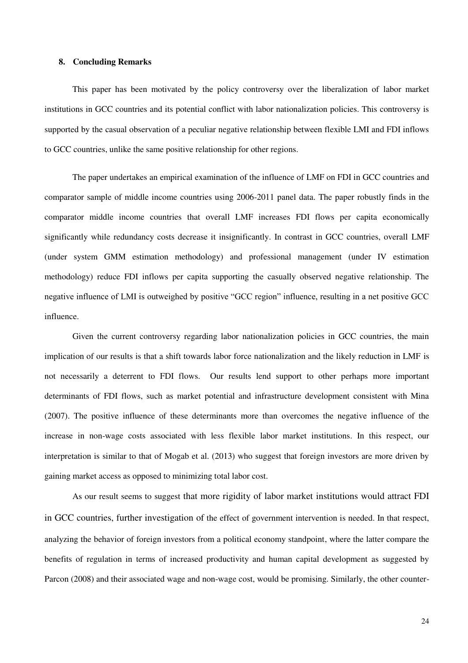#### **8. Concluding Remarks**

This paper has been motivated by the policy controversy over the liberalization of labor market institutions in GCC countries and its potential conflict with labor nationalization policies. This controversy is supported by the casual observation of a peculiar negative relationship between flexible LMI and FDI inflows to GCC countries, unlike the same positive relationship for other regions.

The paper undertakes an empirical examination of the influence of LMF on FDI in GCC countries and comparator sample of middle income countries using 2006-2011 panel data. The paper robustly finds in the comparator middle income countries that overall LMF increases FDI flows per capita economically significantly while redundancy costs decrease it insignificantly. In contrast in GCC countries, overall LMF (under system GMM estimation methodology) and professional management (under IV estimation methodology) reduce FDI inflows per capita supporting the casually observed negative relationship. The negative influence of LMI is outweighed by positive "GCC region" influence, resulting in a net positive GCC influence.

Given the current controversy regarding labor nationalization policies in GCC countries, the main implication of our results is that a shift towards labor force nationalization and the likely reduction in LMF is not necessarily a deterrent to FDI flows. Our results lend support to other perhaps more important determinants of FDI flows, such as market potential and infrastructure development consistent with Mina (2007). The positive influence of these determinants more than overcomes the negative influence of the increase in non-wage costs associated with less flexible labor market institutions. In this respect, our interpretation is similar to that of Mogab et al. (2013) who suggest that foreign investors are more driven by gaining market access as opposed to minimizing total labor cost.

As our result seems to suggest that more rigidity of labor market institutions would attract FDI in GCC countries, further investigation of the effect of government intervention is needed. In that respect, analyzing the behavior of foreign investors from a political economy standpoint, where the latter compare the benefits of regulation in terms of increased productivity and human capital development as suggested by Parcon (2008) and their associated wage and non-wage cost, would be promising. Similarly, the other counter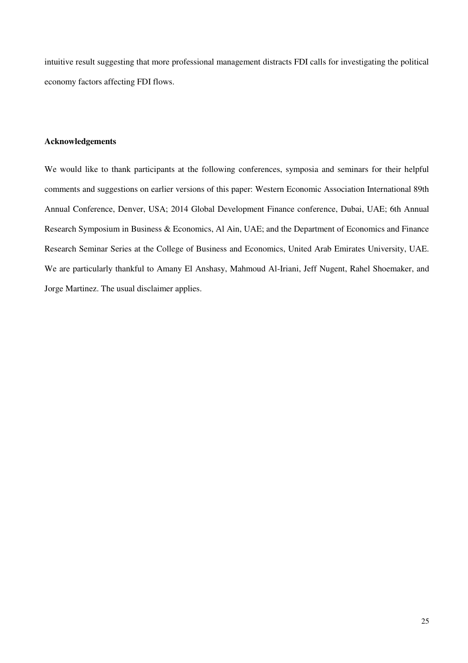intuitive result suggesting that more professional management distracts FDI calls for investigating the political economy factors affecting FDI flows.

# **Acknowledgements**

We would like to thank participants at the following conferences, symposia and seminars for their helpful comments and suggestions on earlier versions of this paper: Western Economic Association International 89th Annual Conference, Denver, USA; 2014 Global Development Finance conference, Dubai, UAE; 6th Annual Research Symposium in Business & Economics, Al Ain, UAE; and the Department of Economics and Finance Research Seminar Series at the College of Business and Economics, United Arab Emirates University, UAE. We are particularly thankful to Amany El Anshasy, Mahmoud Al-Iriani, Jeff Nugent, Rahel Shoemaker, and Jorge Martinez. The usual disclaimer applies.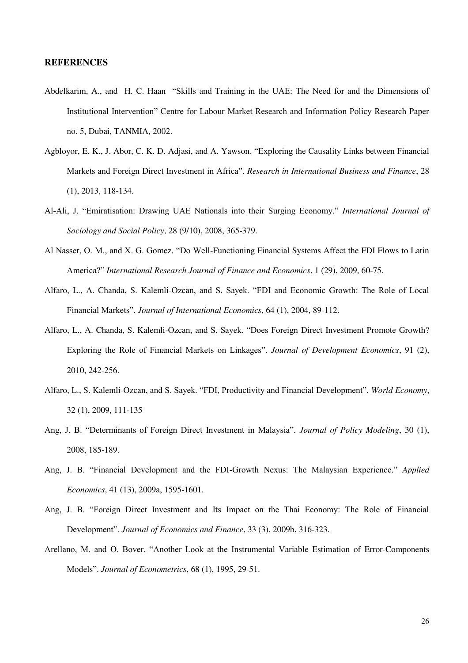# **REFERENCES**

- Abdelkarim, A., and H. C. Haan "Skills and Training in the UAE: The Need for and the Dimensions of Institutional Intervention" Centre for Labour Market Research and Information Policy Research Paper no. 5, Dubai, TANMIA, 2002.
- Agbloyor, E. K., J. Abor, C. K. D. Adjasi, and A. Yawson. "Exploring the Causality Links between Financial Markets and Foreign Direct Investment in Africa". *Research in International Business and Finance*, 28 (1), 2013, 118-134.
- Al-Ali, J. "Emiratisation: Drawing UAE Nationals into their Surging Economy." *International Journal of Sociology and Social Policy*, 28 (9/10), 2008, 365-379.
- Al Nasser, O. M., and X. G. Gomez. "Do Well-Functioning Financial Systems Affect the FDI Flows to Latin America?" *International Research Journal of Finance and Economics*, 1 (29), 2009, 60-75.
- Alfaro, L., A. Chanda, S. Kalemli-Ozcan, and S. Sayek. "FDI and Economic Growth: The Role of Local Financial Markets". *Journal of International Economics*, 64 (1), 2004, 89-112.
- Alfaro, L., A. Chanda, S. Kalemli-Ozcan, and S. Sayek. "Does Foreign Direct Investment Promote Growth? Exploring the Role of Financial Markets on Linkages". *Journal of Development Economics*, 91 (2), 2010, 242-256.
- Alfaro, L., S. Kalemli-Ozcan, and S. Sayek. "FDI, Productivity and Financial Development". *World Economy*, 32 (1), 2009, 111-135
- Ang, J. B. "Determinants of Foreign Direct Investment in Malaysia". *Journal of Policy Modeling*, 30 (1), 2008, 185-189.
- Ang, J. B. "Financial Development and the FDI-Growth Nexus: The Malaysian Experience." *Applied Economics*, 41 (13), 2009a, 1595-1601.
- Ang, J. B. "Foreign Direct Investment and Its Impact on the Thai Economy: The Role of Financial Development". *Journal of Economics and Finance*, 33 (3), 2009b, 316-323.
- Arellano, M. and O. Bover. "Another Look at the Instrumental Variable Estimation of Error-Components Models". *Journal of Econometrics*, 68 (1), 1995, 29-51.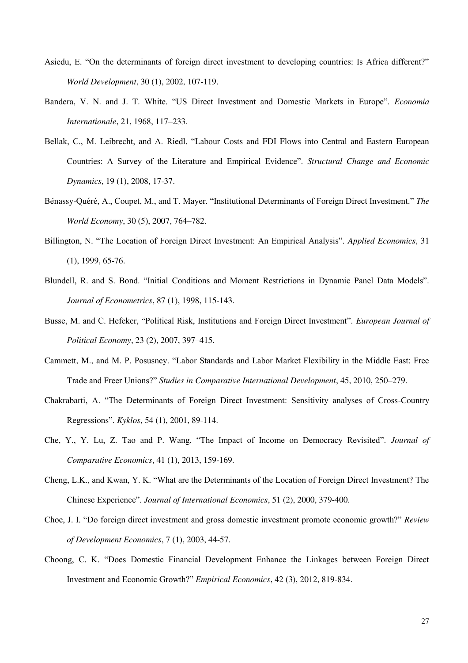- Asiedu, E. "On the determinants of foreign direct investment to developing countries: Is Africa different?" *World Development*, 30 (1), 2002, 107-119.
- Bandera, V. N. and J. T. White. "US Direct Investment and Domestic Markets in Europe". *Economia Internationale*, 21, 1968, 117–233.
- Bellak, C., M. Leibrecht, and A. Riedl. "Labour Costs and FDI Flows into Central and Eastern European Countries: A Survey of the Literature and Empirical Evidence". *Structural Change and Economic Dynamics*, 19 (1), 2008, 17-37.
- Bénassy-Quéré, A., Coupet, M., and T. Mayer. "Institutional Determinants of Foreign Direct Investment." *The World Economy*, 30 (5), 2007, 764–782.
- Billington, N. "The Location of Foreign Direct Investment: An Empirical Analysis". *Applied Economics*, 31 (1), 1999, 65-76.
- Blundell, R. and S. Bond. "Initial Conditions and Moment Restrictions in Dynamic Panel Data Models". *Journal of Econometrics*, 87 (1), 1998, 115-143.
- Busse, M. and C. Hefeker, "Political Risk, Institutions and Foreign Direct Investment". *European Journal of Political Economy*, 23 (2), 2007, 397–415.
- Cammett, M., and M. P. Posusney. "Labor Standards and Labor Market Flexibility in the Middle East: Free Trade and Freer Unions?" *Studies in Comparative International Development*, 45, 2010, 250–279.
- Chakrabarti, A. "The Determinants of Foreign Direct Investment: Sensitivity analyses of Cross-Country Regressions". *Kyklos*, 54 (1), 2001, 89-114.
- Che, Y., Y. Lu, Z. Tao and P. Wang. "The Impact of Income on Democracy Revisited". *Journal of Comparative Economics*, 41 (1), 2013, 159-169.
- Cheng, L.K., and Kwan, Y. K. "What are the Determinants of the Location of Foreign Direct Investment? The Chinese Experience". *Journal of International Economics*, 51 (2), 2000, 379-400.
- Choe, J. I. "Do foreign direct investment and gross domestic investment promote economic growth?" *Review of Development Economics*, 7 (1), 2003, 44-57.
- Choong, C. K. "Does Domestic Financial Development Enhance the Linkages between Foreign Direct Investment and Economic Growth?" *Empirical Economics*, 42 (3), 2012, 819-834.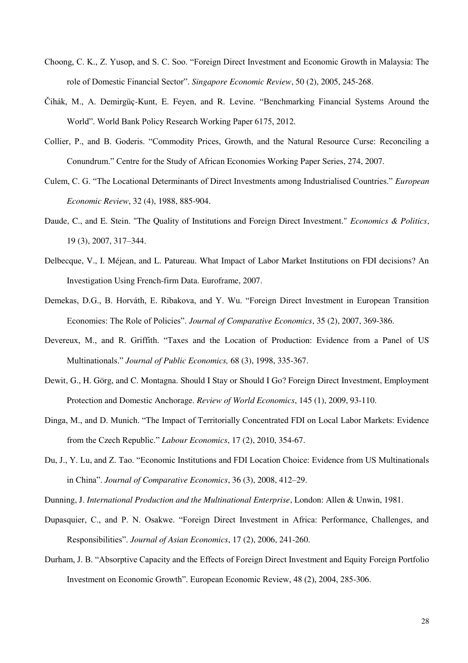- Choong, C. K., Z. Yusop, and S. C. Soo. "Foreign Direct Investment and Economic Growth in Malaysia: The role of Domestic Financial Sector". *Singapore Economic Review*, 50 (2), 2005, 245-268.
- Čihák, M., A. Demirgüç-Kunt, E. Feyen, and R. Levine. "Benchmarking Financial Systems Around the World". World Bank Policy Research Working Paper 6175, 2012.
- Collier, P., and B. Goderis. "Commodity Prices, Growth, and the Natural Resource Curse: Reconciling a Conundrum." Centre for the Study of African Economies Working Paper Series, 274, 2007.
- Culem, C. G. "The Locational Determinants of Direct Investments among Industrialised Countries." *European Economic Review*, 32 (4), 1988, 885-904.
- Daude, C., and E. Stein. "The Quality of Institutions and Foreign Direct Investment." *Economics & Politics*, 19 (3), 2007, 317–344.
- Delbecque, V., I. Méjean, and L. Patureau. What Impact of Labor Market Institutions on FDI decisions? An Investigation Using French-firm Data. Euroframe, 2007.
- Demekas, D.G., B. Horváth, E. Ribakova, and Y. Wu. "Foreign Direct Investment in European Transition Economies: The Role of Policies". *Journal of Comparative Economics*, 35 (2), 2007, 369-386.
- Devereux, M., and R. Griffith. "Taxes and the Location of Production: Evidence from a Panel of US Multinationals." *Journal of Public Economics,* 68 (3), 1998, 335-367.
- Dewit, G., H. Görg, and C. Montagna. Should I Stay or Should I Go? Foreign Direct Investment, Employment Protection and Domestic Anchorage. *Review of World Economics*, 145 (1), 2009, 93-110.
- Dinga, M., and D. Munich. "The Impact of Territorially Concentrated FDI on Local Labor Markets: Evidence from the Czech Republic." *Labour Economics*, 17 (2), 2010, 354-67.
- Du, J., Y. Lu, and Z. Tao. "Economic Institutions and FDI Location Choice: Evidence from US Multinationals in China". *Journal of Comparative Economics*, 36 (3), 2008, 412–29.
- Dunning, J. *International Production and the Multinational Enterprise*, London: Allen & Unwin, 1981.
- Dupasquier, C., and P. N. Osakwe. "Foreign Direct Investment in Africa: Performance, Challenges, and Responsibilities". *Journal of Asian Economics*, 17 (2), 2006, 241-260.
- Durham, J. B. "Absorptive Capacity and the Effects of Foreign Direct Investment and Equity Foreign Portfolio Investment on Economic Growth". European Economic Review, 48 (2), 2004, 285-306.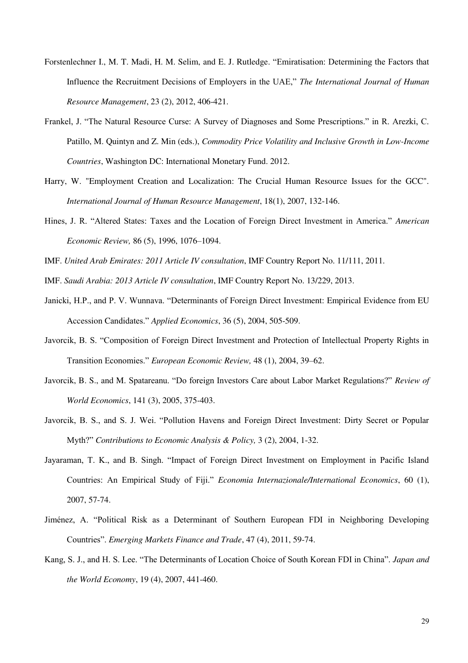- Forstenlechner I., M. T. Madi, H. M. Selim, and E. J. Rutledge. "Emiratisation: Determining the Factors that Influence the Recruitment Decisions of Employers in the UAE," *The International Journal of Human Resource Management*, 23 (2), 2012, 406-421.
- Frankel, J. "The Natural Resource Curse: A Survey of Diagnoses and Some Prescriptions." in R. Arezki, C. Patillo, M. Quintyn and Z. Min (eds.), *Commodity Price Volatility and Inclusive Growth in Low-Income Countries*, Washington DC: International Monetary Fund. 2012.
- Harry, W. "Employment Creation and Localization: The Crucial Human Resource Issues for the GCC". *International Journal of Human Resource Management*, 18(1), 2007, 132-146.
- Hines, J. R. "Altered States: Taxes and the Location of Foreign Direct Investment in America." *American Economic Review,* 86 (5), 1996, 1076–1094.

IMF. *United Arab Emirates: 2011 Article IV consultation*, IMF Country Report No. 11/111, 2011.

IMF. *Saudi Arabia: 2013 Article IV consultation*, IMF Country Report No. 13/229, 2013.

- Janicki, H.P., and P. V. Wunnava. "Determinants of Foreign Direct Investment: Empirical Evidence from EU Accession Candidates." *Applied Economics*, 36 (5), 2004, 505-509.
- Javorcik, B. S. "Composition of Foreign Direct Investment and Protection of Intellectual Property Rights in Transition Economies." *European Economic Review,* 48 (1), 2004, 39–62.
- Javorcik, B. S., and M. Spatareanu. "Do foreign Investors Care about Labor Market Regulations?" *Review of World Economics*, 141 (3), 2005, 375-403.
- Javorcik, B. S., and S. J. Wei. "Pollution Havens and Foreign Direct Investment: Dirty Secret or Popular Myth?" *Contributions to Economic Analysis & Policy,* 3 (2), 2004, 1-32.
- Jayaraman, T. K., and B. Singh. "Impact of Foreign Direct Investment on Employment in Pacific Island Countries: An Empirical Study of Fiji." *Economia Internazionale/International Economics*, 60 (1), 2007, 57-74.
- Jiménez, A. "Political Risk as a Determinant of Southern European FDI in Neighboring Developing Countries". *Emerging Markets Finance and Trade*, 47 (4), 2011, 59-74.
- Kang, S. J., and H. S. Lee. "The Determinants of Location Choice of South Korean FDI in China". *Japan and the World Economy*, 19 (4), 2007, 441-460.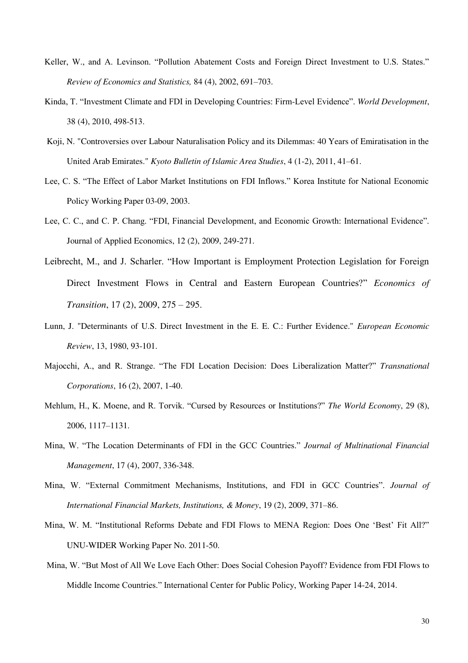- Keller, W., and A. Levinson. "Pollution Abatement Costs and Foreign Direct Investment to U.S. States." *Review of Economics and Statistics,* 84 (4), 2002, 691–703.
- Kinda, T. "Investment Climate and FDI in Developing Countries: Firm-Level Evidence". *World Development*, 38 (4), 2010, 498-513.
- Koji, N. "Controversies over Labour Naturalisation Policy and its Dilemmas: 40 Years of Emiratisation in the United Arab Emirates." *Kyoto Bulletin of Islamic Area Studies*, 4 (1-2), 2011, 41–61.
- Lee, C. S. "The Effect of Labor Market Institutions on FDI Inflows." Korea Institute for National Economic Policy Working Paper 03-09, 2003.
- Lee, C. C., and C. P. Chang. "FDI, Financial Development, and Economic Growth: International Evidence". Journal of Applied Economics, 12 (2), 2009, 249-271.
- Leibrecht, M., and J. Scharler. "How Important is Employment Protection Legislation for Foreign Direct Investment Flows in Central and Eastern European Countries?" *Economics of Transition*, 17 (2), 2009, 275 – 295.
- Lunn, J. "Determinants of U.S. Direct Investment in the E. E. C.: Further Evidence." *European Economic Review*, 13, 1980, 93-101.
- Majocchi, A., and R. Strange. "The FDI Location Decision: Does Liberalization Matter?" *Transnational Corporations*, 16 (2), 2007, 1-40.
- Mehlum, H., K. Moene, and R. Torvik. "Cursed by Resources or Institutions?" *The World Economy*, 29 (8), 2006, 1117–1131.
- Mina, W. "The Location Determinants of FDI in the GCC Countries." *Journal of Multinational Financial Management*, 17 (4), 2007, 336-348.
- Mina, W. "External Commitment Mechanisms, Institutions, and FDI in GCC Countries". *Journal of International Financial Markets, Institutions, & Money*, 19 (2), 2009, 371–86.
- Mina, W. M. "Institutional Reforms Debate and FDI Flows to MENA Region: Does One 'Best' Fit All?" UNU-WIDER Working Paper No. 2011-50.
- Mina, W. "But Most of All We Love Each Other: Does Social Cohesion Payoff? Evidence from FDI Flows to Middle Income Countries." International Center for Public Policy, Working Paper 14-24, 2014.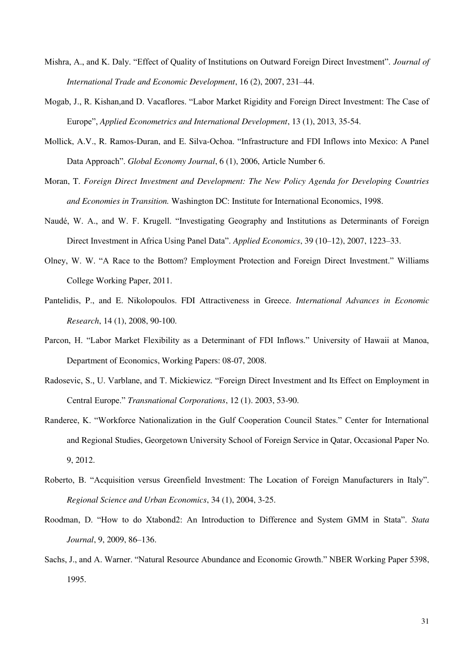- Mishra, A., and K. Daly. "Effect of Quality of Institutions on Outward Foreign Direct Investment". *Journal of International Trade and Economic Development*, 16 (2), 2007, 231–44.
- Mogab, J., R. Kishan,and D. Vacaflores. "Labor Market Rigidity and Foreign Direct Investment: The Case of Europe", *Applied Econometrics and International Development*, 13 (1), 2013, 35-54.
- Mollick, A.V., R. Ramos-Duran, and E. Silva-Ochoa. "Infrastructure and FDI Inflows into Mexico: A Panel Data Approach". *Global Economy Journal*, 6 (1), 2006, Article Number 6.
- Moran, T. *Foreign Direct Investment and Development: The New Policy Agenda for Developing Countries and Economies in Transition.* Washington DC: Institute for International Economics, 1998.
- Naudé, W. A., and W. F. Krugell. "Investigating Geography and Institutions as Determinants of Foreign Direct Investment in Africa Using Panel Data". *Applied Economics*, 39 (10–12), 2007, 1223–33.
- Olney, W. W. "A Race to the Bottom? Employment Protection and Foreign Direct Investment." Williams College Working Paper, 2011.
- Pantelidis, P., and E. Nikolopoulos. FDI Attractiveness in Greece. *International Advances in Economic Research*, 14 (1), 2008, 90-100.
- Parcon, H. "Labor Market Flexibility as a Determinant of FDI Inflows." University of Hawaii at Manoa, Department of Economics, Working Papers: 08-07, 2008.
- Radosevic, S., U. Varblane, and T. Mickiewicz. "Foreign Direct Investment and Its Effect on Employment in Central Europe." *Transnational Corporations*, 12 (1). 2003, 53-90.
- Randeree, K. "Workforce Nationalization in the Gulf Cooperation Council States." Center for International and Regional Studies, Georgetown University School of Foreign Service in Qatar, Occasional Paper No. 9, 2012.
- Roberto, B. "Acquisition versus Greenfield Investment: The Location of Foreign Manufacturers in Italy". *Regional Science and Urban Economics*, 34 (1), 2004, 3-25.
- Roodman, D. "How to do Xtabond2: An Introduction to Difference and System GMM in Stata". *Stata Journal*, 9, 2009, 86–136.
- Sachs, J., and A. Warner. "Natural Resource Abundance and Economic Growth." NBER Working Paper 5398, 1995.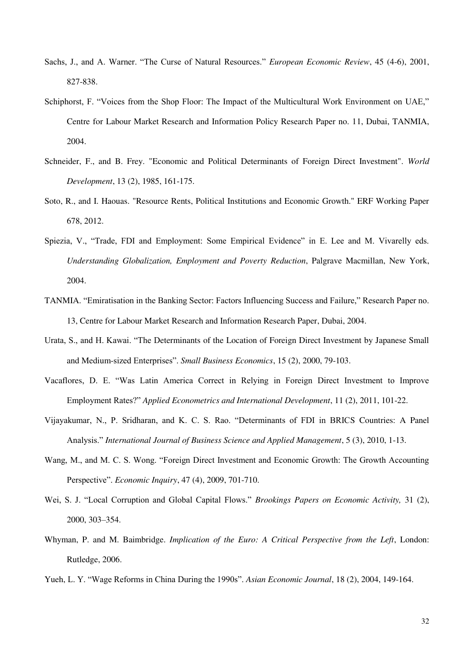- Sachs, J., and A. Warner. "The Curse of Natural Resources." *European Economic Review*, 45 (4-6), 2001, 827-838.
- Schiphorst, F. "Voices from the Shop Floor: The Impact of the Multicultural Work Environment on UAE," Centre for Labour Market Research and Information Policy Research Paper no. 11, Dubai, TANMIA, 2004.
- Schneider, F., and B. Frey. "Economic and Political Determinants of Foreign Direct Investment". *World Development*, 13 (2), 1985, 161-175.
- Soto, R., and I. Haouas. "Resource Rents, Political Institutions and Economic Growth." ERF Working Paper 678, 2012.
- Spiezia, V., "Trade, FDI and Employment: Some Empirical Evidence" in E. Lee and M. Vivarelly eds. *Understanding Globalization, Employment and Poverty Reduction*, Palgrave Macmillan, New York, 2004.
- TANMIA. "Emiratisation in the Banking Sector: Factors Influencing Success and Failure," Research Paper no. 13, Centre for Labour Market Research and Information Research Paper, Dubai, 2004.
- Urata, S., and H. Kawai. "The Determinants of the Location of Foreign Direct Investment by Japanese Small and Medium-sized Enterprises". *Small Business Economics*, 15 (2), 2000, 79-103.
- Vacaflores, D. E. "Was Latin America Correct in Relying in Foreign Direct Investment to Improve Employment Rates?" *Applied Econometrics and International Development*, 11 (2), 2011, 101-22.
- Vijayakumar, N., P. Sridharan, and K. C. S. Rao. "Determinants of FDI in BRICS Countries: A Panel Analysis." *International Journal of Business Science and Applied Management*, 5 (3), 2010, 1-13.
- Wang, M., and M. C. S. Wong. "Foreign Direct Investment and Economic Growth: The Growth Accounting Perspective". *Economic Inquiry*, 47 (4), 2009, 701-710.
- Wei, S. J. "Local Corruption and Global Capital Flows." *Brookings Papers on Economic Activity,* 31 (2), 2000, 303–354.
- Whyman, P. and M. Baimbridge. *Implication of the Euro: A Critical Perspective from the Left*, London: Rutledge, 2006.
- Yueh, L. Y. "Wage Reforms in China During the 1990s". *Asian Economic Journal*, 18 (2), 2004, 149-164.